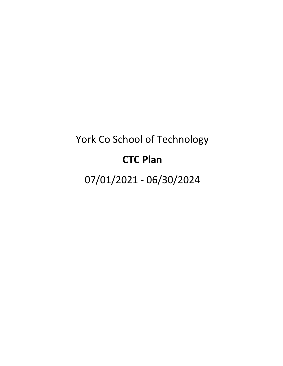# York Co School of Technology

# **CTC Plan**

07/01/2021 - 06/30/2024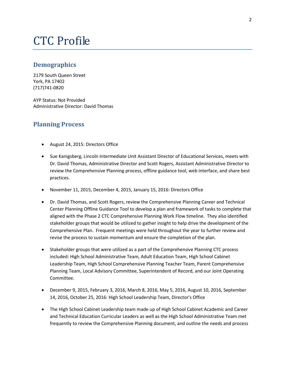# CTC Profile

## **Demographics**

2179 South Queen Street York, PA 17402 (717)741-0820

AYP Status: Not Provided Administrative Director: David Thomas

## **Planning Process**

- August 24, 2015: Directors Office
- Sue Kanigsberg, Lincoln Intermediate Unit Assistant Director of Educational Services, meets with Dr. David Thomas, Administrative Director and Scott Rogers, Assistant Administrative Director to review the Comprehensive Planning process, offline guidance tool, web interface, and share best practices.
- November 11, 2015, December 4, 2015, January 15, 2016: Directors Office
- Dr. David Thomas, and Scott Rogers, review the Comprehensive Planning Career and Technical Center Planning Offline Guidance Tool to develop a plan and framework of tasks to complete that aligned with the Phase 2 CTC Comprehensive Planning Work Flow timeline. They also identified stakeholder groups that would be utilized to gather insight to help drive the development of the Comprehensive Plan. Frequent meetings were held throughout the year to further review and revise the process to sustain momentum and ensure the completion of the plan.
- Stakeholder groups that were utilized as a part of the Comprehensive Planning CTC process included: High School Administrative Team, Adult Education Team, High School Cabinet Leadership Team, High School Comprehensive Planning Teacher Team, Parent Comprehensive Planning Team, Local Advisory Committee, Superintendent of Record, and our Joint Operating Committee.
- December 9, 2015, February 3, 2016, March 8, 2016, May 5, 2016, August 10, 2016, September 14, 2016, October 25, 2016: High School Leadership Team, Director's Office
- The High School Cabinet Leadership team made up of High School Cabinet Academic and Career and Technical Education Curricular Leaders as well as the High School Administrative Team met frequently to review the Comprehensive Planning document, and outline the needs and process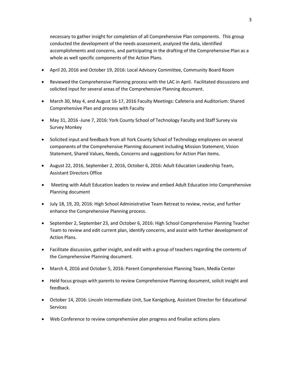necessary to gather insight for completion of all Comprehensive Plan components. This group conducted the development of the needs assessment, analyzed the data, identified accomplishments and concerns, and participating in the drafting of the Comprehensive Plan as a whole as well specific components of the Action Plans.

- April 20, 2016 and October 19, 2016: Local Advisory Committee, Community Board Room
- Reviewed the Comprehensive Planning process with the LAC in April. Facilitated discussions and solicited input for several areas of the Comprehensive Planning document.
- March 30, May 4, and August 16-17, 2016 Faculty Meetings: Cafeteria and Auditorium: Shared Comprehensive Plan and process with Faculty
- May 31, 2016 -June 7, 2016: York County School of Technology Faculty and Staff Survey via Survey Monkey
- Solicited input and feedback from all York County School of Technology employees on several components of the Comprehensive Planning document including Mission Statement, Vision Statement, Shared Values, Needs, Concerns and suggestions for Action Plan items.
- August 22, 2016, September 2, 2016, October 6, 2016: Adult Education Leadership Team, Assistant Directors Office
- Meeting with Adult Education leaders to review and embed Adult Education into Comprehensive Planning document
- July 18, 19, 20, 2016: High School Administrative Team Retreat to review, revise, and further enhance the Comprehensive Planning process.
- September 2, September 23, and October 6, 2016: High School Comprehensive Planning Teacher Team to review and edit current plan, identify concerns, and assist with further development of Action Plans.
- Facilitate discussion, gather insight, and edit with a group of teachers regarding the contents of the Comprehensive Planning document.
- March 4, 2016 and October 5, 2016: Parent Comprehensive Planning Team, Media Center
- Held focus groups with parents to review Comprehensive Planning document, solicit insight and feedback.
- October 14, 2016: Lincoln Intermediate Unit, Sue Kanigsburg, Assistant Director for Educational **Services**
- Web Conference to review comprehensive plan progress and finalize actions plans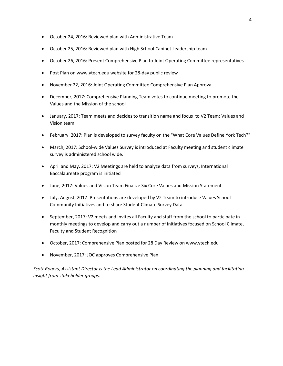- October 24, 2016: Reviewed plan with Administrative Team
- October 25, 2016: Reviewed plan with High School Cabinet Leadership team
- October 26, 2016: Present Comprehensive Plan to Joint Operating Committee representatives
- Post Plan on www.ytech.edu website for 28-day public review
- November 22, 2016: Joint Operating Committee Comprehensive Plan Approval
- December, 2017: Comprehensive Planning Team votes to continue meeting to promote the Values and the Mission of the school
- January, 2017: Team meets and decides to transition name and focus to V2 Team: Values and Vision team
- February, 2017: Plan is developed to survey faculty on the "What Core Values Define York Tech?"
- March, 2017: School-wide Values Survey is introduced at Faculty meeting and student climate survey is administered school wide.
- April and May, 2017: V2 Meetings are held to analyze data from surveys, International Baccalaureate program is initiated
- June, 2017: Values and Vision Team Finalize Six Core Values and Mission Statement
- July, August, 2017: Presentations are developed by V2 Team to introduce Values School Community Initiatives and to share Student Climate Survey Data
- September, 2017: V2 meets and invites all Faculty and staff from the school to participate in monthly meetings to develop and carry out a number of initiatives focused on School Climate, Faculty and Student Recognition
- October, 2017: Comprehensive Plan posted for 28 Day Review on www.ytech.edu
- November, 2017: JOC approves Comprehensive Plan

*Scott Rogers, Assistant Director is the Lead Administrator on coordinating the planning and facilitating insight from stakeholder groups.*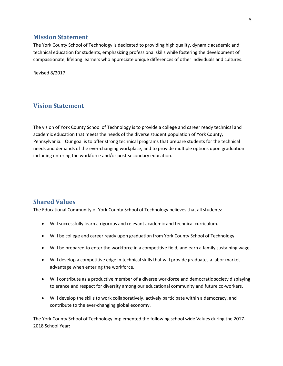## **Mission Statement**

The York County School of Technology is dedicated to providing high quality, dynamic academic and technical education for students, emphasizing professional skills while fostering the development of compassionate, lifelong learners who appreciate unique differences of other individuals and cultures.

Revised 8/2017

## **Vision Statement**

The vision of York County School of Technology is to provide a college and career ready technical and academic education that meets the needs of the diverse student population of York County, Pennsylvania. Our goal is to offer strong technical programs that prepare students for the technical needs and demands of the ever-changing workplace, and to provide multiple options upon graduation including entering the workforce and/or post-secondary education.

## **Shared Values**

The Educational Community of York County School of Technology believes that all students:

- Will successfully learn a rigorous and relevant academic and technical curriculum.
- Will be college and career ready upon graduation from York County School of Technology.
- Will be prepared to enter the workforce in a competitive field, and earn a family sustaining wage.
- Will develop a competitive edge in technical skills that will provide graduates a labor market advantage when entering the workforce.
- Will contribute as a productive member of a diverse workforce and democratic society displaying tolerance and respect for diversity among our educational community and future co-workers.
- Will develop the skills to work collaboratively, actively participate within a democracy, and contribute to the ever-changing global economy.

The York County School of Technology implemented the following school wide Values during the 2017- 2018 School Year: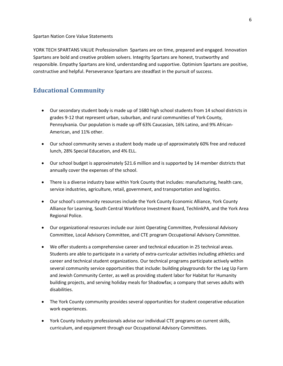Spartan Nation Core Value Statements

YORK TECH SPARTANS VALUE Professionalism Spartans are on time, prepared and engaged. Innovation Spartans are bold and creative problem solvers. Integrity Spartans are honest, trustworthy and responsible. Empathy Spartans are kind, understanding and supportive. Optimism Spartans are positive, constructive and helpful. Perseverance Spartans are steadfast in the pursuit of success.

## **Educational Community**

- Our secondary student body is made up of 1680 high school students from 14 school districts in grades 9-12 that represent urban, suburban, and rural communities of York County, Pennsylvania. Our population is made up off 63% Caucasian, 16% Latino, and 9% African-American, and 11% other.
- Our school community serves a student body made up of approximately 60% free and reduced lunch, 28% Special Education, and 4% ELL.
- Our school budget is approximately \$21.6 million and is supported by 14 member districts that annually cover the expenses of the school.
- There is a diverse industry base within York County that includes: manufacturing, health care, service industries, agriculture, retail, government, and transportation and logistics.
- Our school's community resources include the York County Economic Alliance, York County Alliance for Learning, South Central Workforce Investment Board, TechlinkPA, and the York Area Regional Police.
- Our organizational resources include our Joint Operating Committee, Professional Advisory Committee, Local Advisory Committee, and CTE program Occupational Advisory Committee.
- We offer students a comprehensive career and technical education in 25 technical areas. Students are able to participate in a variety of extra-curricular activities including athletics and career and technical student organizations. Our technical programs participate actively within several community service opportunities that include: building playgrounds for the Leg Up Farm and Jewish Community Center, as well as providing student labor for Habitat for Humanity building projects, and serving holiday meals for Shadowfax; a company that serves adults with disabilities.
- The York County community provides several opportunities for student cooperative education work experiences.
- York County Industry professionals advise our individual CTE programs on current skills, curriculum, and equipment through our Occupational Advisory Committees.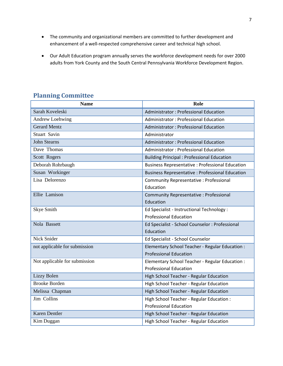- The community and organizational members are committed to further development and enhancement of a well-respected comprehensive career and technical high school.
- Our Adult Education program annually serves the workforce development needs for over 2000 adults from York County and the South Central Pennsylvania Workforce Development Region.

|  | <b>Planning Committee</b> |
|--|---------------------------|
|--|---------------------------|

| <b>Name</b>                   | Role                                                    |
|-------------------------------|---------------------------------------------------------|
| Sarah Koveleski               | Administrator: Professional Education                   |
| <b>Andrew Loehwing</b>        | <b>Administrator: Professional Education</b>            |
| <b>Gerard Mentz</b>           | <b>Administrator: Professional Education</b>            |
| Stuart Savin                  | Administrator                                           |
| <b>John Stearns</b>           | Administrator: Professional Education                   |
| Dave Thomas                   | <b>Administrator: Professional Education</b>            |
| Scott Rogers                  | <b>Building Principal: Professional Education</b>       |
| Deborah Rohrbaugh             | <b>Business Representative : Professional Education</b> |
| Susan Workinger               | <b>Business Representative : Professional Education</b> |
| Lisa Delorenzo                | Community Representative: Professional                  |
|                               | Education                                               |
| Ellie Lamison                 | Community Representative : Professional                 |
|                               | Education                                               |
| Skye Smith                    | Ed Specialist - Instructional Technology :              |
|                               | <b>Professional Education</b>                           |
| Nola Bassett                  | Ed Specialist - School Counselor : Professional         |
|                               | Education                                               |
| Nick Snider                   | Ed Specialist - School Counselor                        |
| not applicable for submission | Elementary School Teacher - Regular Education :         |
|                               | <b>Professional Education</b>                           |
| Not applicable for submission | Elementary School Teacher - Regular Education :         |
|                               | <b>Professional Education</b>                           |
| Lizzy Bolen                   | High School Teacher - Regular Education                 |
| <b>Brooke Borden</b>          | High School Teacher - Regular Education                 |
| Melissa Chapman               | High School Teacher - Regular Education                 |
| Jim Collins                   | High School Teacher - Regular Education :               |
|                               | <b>Professional Education</b>                           |
| Karen Dentler                 | High School Teacher - Regular Education                 |
| Kim Duggan                    | High School Teacher - Regular Education                 |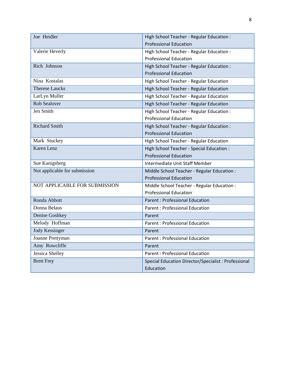| Joe Heidler                   | High School Teacher - Regular Education :            |
|-------------------------------|------------------------------------------------------|
|                               | <b>Professional Education</b>                        |
| Valerie Heverly               | High School Teacher - Regular Education :            |
|                               | <b>Professional Education</b>                        |
| Rich Johnson                  | High School Teacher - Regular Education :            |
|                               | <b>Professional Education</b>                        |
| Nina Kostalas                 | High School Teacher - Regular Education              |
| <b>Therese Laucks</b>         | High School Teacher - Regular Education              |
| LarLyn Muller                 | High School Teacher - Regular Education              |
| <b>Rob Sealover</b>           | High School Teacher - Regular Education              |
| Jen Smith                     | High School Teacher - Regular Education :            |
|                               | <b>Professional Education</b>                        |
| <b>Richard Smith</b>          | High School Teacher - Regular Education :            |
|                               | <b>Professional Education</b>                        |
| Mark Stuckey                  | High School Teacher - Regular Education              |
| Karen Lenz                    | High School Teacher - Special Education :            |
|                               | <b>Professional Education</b>                        |
| Sue Kanigsberg                | Intermediate Unit Staff Member                       |
| Not applicable for submission | Middle School Teacher - Regular Education :          |
|                               | <b>Professional Education</b>                        |
| NOT APPLICABLE FOR SUBMISSION | Middle School Teacher - Regular Education :          |
|                               | <b>Professional Education</b>                        |
| Ronda Abbott                  | <b>Parent : Professional Education</b>               |
| Donna Belaus                  | <b>Parent: Professional Education</b>                |
| Denise Goshkey                | Parent                                               |
| Melody Hoffman                | <b>Parent: Professional Education</b>                |
| <b>Jody Kessinger</b>         | Parent                                               |
| Joanne Prettyman              | <b>Parent: Professional Education</b>                |
| Amy Rowcliffe                 | Parent                                               |
| Jessica Shelley               | <b>Parent: Professional Education</b>                |
| <b>Brett Frey</b>             | Special Education Director/Specialist : Professional |
|                               | Education                                            |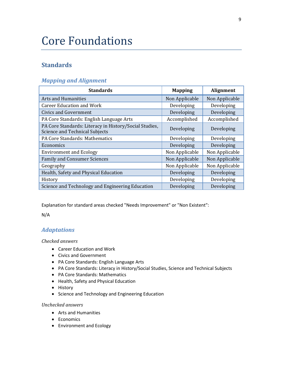# Core Foundations

## **Standards**

## *Mapping and Alignment*

| <b>Standards</b>                                                                         | <b>Mapping</b> | Alignment      |
|------------------------------------------------------------------------------------------|----------------|----------------|
| Arts and Humanities                                                                      | Non Applicable | Non Applicable |
| <b>Career Education and Work</b>                                                         | Developing     | Developing     |
| Civics and Government                                                                    | Developing     | Developing     |
| PA Core Standards: English Language Arts                                                 | Accomplished   | Accomplished   |
| PA Core Standards: Literacy in History/Social Studies,<br>Science and Technical Subjects | Developing     | Developing     |
| PA Core Standards: Mathematics                                                           | Developing     | Developing     |
| Economics                                                                                | Developing     | Developing     |
| <b>Environment and Ecology</b>                                                           | Non Applicable | Non Applicable |
| <b>Family and Consumer Sciences</b>                                                      | Non Applicable | Non Applicable |
| Geography                                                                                | Non Applicable | Non Applicable |
| Health, Safety and Physical Education                                                    | Developing     | Developing     |
| History                                                                                  | Developing     | Developing     |
| Science and Technology and Engineering Education                                         | Developing     | Developing     |

Explanation for standard areas checked "Needs Improvement" or "Non Existent":

N/A

## *Adaptations*

## *Checked answers*

- Career Education and Work
- Civics and Government
- PA Core Standards: English Language Arts
- PA Core Standards: Literacy in History/Social Studies, Science and Technical Subjects
- PA Core Standards: Mathematics
- Health, Safety and Physical Education
- History
- Science and Technology and Engineering Education

#### *Unchecked answers*

- Arts and Humanities
- Economics
- Environment and Ecology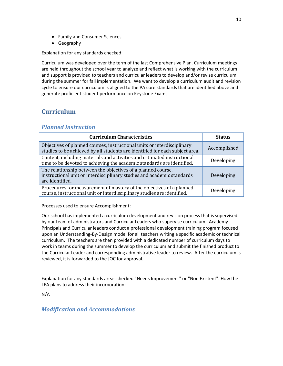- Family and Consumer Sciences
- Geography

Explanation for any standards checked:

Curriculum was developed over the term of the last Comprehensive Plan. Curriculum meetings are held throughout the school year to analyze and reflect what is working with the curriculum and support is provided to teachers and curricular leaders to develop and/or revise curriculum during the summer for fall implementation. We want to develop a curriculum audit and revision cycle to ensure our curriculum is aligned to the PA core standards that are identified above and generate proficient student performance on Keystone Exams.

## **Curriculum**

## *Planned Instruction*

| <b>Curriculum Characteristics</b>                                                                                                                         | <b>Status</b> |
|-----------------------------------------------------------------------------------------------------------------------------------------------------------|---------------|
| Objectives of planned courses, instructional units or interdisciplinary<br>studies to be achieved by all students are identified for each subject area.   | Accomplished  |
| Content, including materials and activities and estimated instructional<br>time to be devoted to achieving the academic standards are identified.         | Developing    |
| The relationship between the objectives of a planned course,<br>instructional unit or interdisciplinary studies and academic standards<br>are identified. | Developing    |
| Procedures for measurement of mastery of the objectives of a planned<br>course, instructional unit or interdisciplinary studies are identified.           | Developing    |

Processes used to ensure Accomplishment:

Our school has implemented a curriculum development and revision process that is supervised by our team of administrators and Curricular Leaders who supervise curriculum. Academy Principals and Curricular leaders conduct a professional development training program focused upon an Understanding-By-Design model for all teachers writing a specific academic or technical curriculum. The teachers are then provided with a dedicated number of curriculum days to work in teams during the summer to develop the curriculum and submit the finished product to the Curricular Leader and corresponding administrative leader to review. After the curriculum is reviewed, it is forwarded to the JOC for approval.

Explanation for any standards areas checked "Needs Improvement" or "Non Existent". How the LEA plans to address their incorporation:

N/A

## *Modification and Accommodations*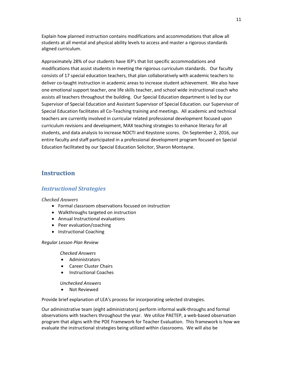Explain how planned instruction contains modifications and accommodations that allow all students at all mental and physical ability levels to access and master a rigorous standards aligned curriculum.

Approximately 28% of our students have IEP's that list specific accommodations and modifications that assist students in meeting the rigorous curriculum standards. Our faculty consists of 17 special education teachers, that plan collaboratively with academic teachers to deliver co-taught instruction in academic areas to increase student achievement. We also have one emotional support teacher, one life skills teacher, and school wide instructional coach who assists all teachers throughout the building. Our Special Education department is led by our Supervisor of Special Education and Assistant Supervisor of Special Education. our Supervisor of Special Education facilitates all Co-Teaching training and meetings. All academic and technical teachers are currently involved in curricular related professional development focused upon curriculum revisions and development, MAX teaching strategies to enhance literacy for all students, and data analysis to increase NOCTI and Keystone scores. On September 2, 2016, our entire faculty and staff participated in a professional development program focused on Special Education facilitated by our Special Education Solicitor, Sharon Montayne.

## **Instruction**

## *Instructional Strategies*

### *Checked Answers*

- Formal classroom observations focused on instruction
- Walkthroughs targeted on instruction
- Annual Instructional evaluations
- Peer evaluation/coaching
- Instructional Coaching

#### *Regular Lesson Plan Review*

#### *Checked Answers*

- Administrators
- Career Cluster Chairs
- Instructional Coaches

#### *Unchecked Answers*

• Not Reviewed

Provide brief explanation of LEA's process for incorporating selected strategies.

Our administrative team (eight administrators) perform informal walk-throughs and formal observations with teachers throughout the year. We utilize PAETEP, a web-based observation program that aligns with the PDE Framework for Teacher Evaluation. This framework is how we evaluate the instructional strategies being utilized within classrooms. We will also be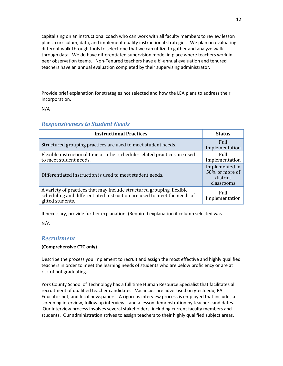capitalizing on an instructional coach who can work with all faculty members to review lesson plans, curriculum, data, and implement quality instructional strategies. We plan on evaluating different walk-through tools to select one that we can utilize to gather and analyze walkthrough data. We do have differentiated supervision model in place where teachers work in peer observation teams. Non-Tenured teachers have a bi-annual evaluation and tenured teachers have an annual evaluation completed by their supervising administrator.

Provide brief explanation for strategies not selected and how the LEA plans to address their incorporation.

N/A

| <b>Instructional Practices</b>                                                                                                                                       | <b>Status</b>                                              |
|----------------------------------------------------------------------------------------------------------------------------------------------------------------------|------------------------------------------------------------|
| Structured grouping practices are used to meet student needs.                                                                                                        | Full<br>Implementation                                     |
| Flexible instructional time or other schedule-related practices are used<br>to meet student needs.                                                                   | <b>Full</b><br>Implementation                              |
| Differentiated instruction is used to meet student needs.                                                                                                            | Implemented in<br>50% or more of<br>district<br>classrooms |
| A variety of practices that may include structured grouping, flexible<br>scheduling and differentiated instruction are used to meet the needs of<br>gifted students. | <b>Full</b><br>Implementation                              |

## *Responsiveness to Student Needs*

If necessary, provide further explanation. (Required explanation if column selected was

N/A

## *Recruitment*

## **(Comprehensive CTC only)**

Describe the process you implement to recruit and assign the most effective and highly qualified teachers in order to meet the learning needs of students who are below proficiency or are at risk of not graduating.

York County School of Technology has a full time Human Resource Specialist that facilitates all recruitment of qualified teacher candidates. Vacancies are advertised on ytech.edu, PA Educator.net, and local newspapers. A rigorous interview process is employed that includes a screening interview, follow up interviews, and a lesson demonstration by teacher candidates. Our interview process involves several stakeholders, including current faculty members and students. Our administration strives to assign teachers to their highly qualified subject areas.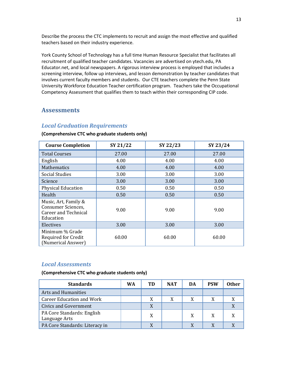Describe the process the CTC implements to recruit and assign the most effective and qualified teachers based on their industry experience.

York County School of Technology has a full time Human Resource Specialist that facilitates all recruitment of qualified teacher candidates. Vacancies are advertised on ytech.edu, PA Educator.net, and local newspapers. A rigorous interview process is employed that includes a screening interview, follow up interviews, and lesson demonstration by teacher candidates that involves current faculty members and students. Our CTE teachers complete the Penn State University Workforce Education Teacher certification program. Teachers take the Occupational Competency Assessment that qualifies them to teach within their corresponding CIP code.

## **Assessments**

## *Local Graduation Requirements*

#### **(Comprehensive CTC who graduate students only)**

| <b>Course Completion</b>                                                               | SY 21/22 | SY 22/23 | SY 23/24 |
|----------------------------------------------------------------------------------------|----------|----------|----------|
| <b>Total Courses</b>                                                                   | 27.00    | 27.00    | 27.00    |
| English                                                                                | 4.00     | 4.00     | 4.00     |
| <b>Mathematics</b>                                                                     | 4.00     | 4.00     | 4.00     |
| <b>Social Studies</b>                                                                  | 3.00     | 3.00     | 3.00     |
| Science                                                                                | 3.00     | 3.00     | 3.00     |
| <b>Physical Education</b>                                                              | 0.50     | 0.50     | 0.50     |
| Health                                                                                 | 0.50     | 0.50     | 0.50     |
| Music, Art, Family &<br>Consumer Sciences,<br><b>Career and Technical</b><br>Education | 9.00     | 9.00     | 9.00     |
| Electives                                                                              | 3.00     | 3.00     | 3.00     |
| Minimum % Grade<br><b>Required for Credit</b><br>(Numerical Answer)                    | 60.00    | 60.00    | 60.00    |

## *Local Assessments*

**(Comprehensive CTC who graduate students only)**

| <b>Standards</b>                            | WA | TD | <b>NAT</b> | DA | <b>PSW</b> | Other |
|---------------------------------------------|----|----|------------|----|------------|-------|
| <b>Arts and Humanities</b>                  |    |    |            |    |            |       |
| <b>Career Education and Work</b>            |    | X  | X          |    | X          |       |
| <b>Civics and Government</b>                |    |    |            |    |            |       |
| PA Core Standards: English<br>Language Arts |    | X  |            | X  | X          |       |
| PA Core Standards: Literacy in              |    |    |            |    |            |       |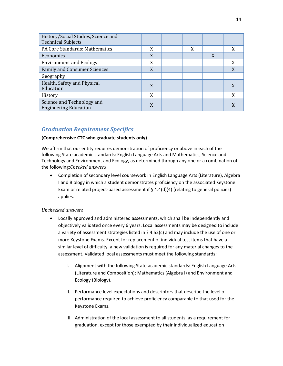| History/Social Studies, Science and<br><b>Technical Subjects</b> |   |   |   |   |
|------------------------------------------------------------------|---|---|---|---|
| PA Core Standards: Mathematics                                   | X | X |   |   |
| Economics                                                        | X |   | X |   |
| <b>Environment and Ecology</b>                                   | X |   |   | X |
| <b>Family and Consumer Sciences</b>                              | X |   |   | X |
| Geography                                                        |   |   |   |   |
| Health, Safety and Physical<br>Education                         | X |   |   |   |
| History                                                          | X |   |   | X |
| Science and Technology and<br><b>Engineering Education</b>       |   |   |   |   |

## *Graduation Requirement Specifics*

#### **(Comprehensive CTC who graduate students only)**

We affirm that our entity requires demonstration of proficiency or above in each of the following State academic standards: English Language Arts and Mathematics, Science and Technology and Environment and Ecology, as determined through any one or a combination of the following:*Checked answers*

• Completion of secondary level coursework in English Language Arts (Literature), Algebra I and Biology in which a student demonstrates proficiency on the associated Keystone Exam or related project-based assessment if § 4.4(d)(4) (relating to general policies) applies.

## *Unchecked answers*

- Locally approved and administered assessments, which shall be independently and objectively validated once every 6 years. Local assessments may be designed to include a variety of assessment strategies listed in ? 4.52(c) and may include the use of one or more Keystone Exams. Except for replacement of individual test items that have a similar level of difficulty, a new validation is required for any material changes to the assessment. Validated local assessments must meet the following standards:
	- I. Alignment with the following State academic standards: English Language Arts (Literature and Composition); Mathematics (Algebra I) and Environment and Ecology (Biology).
	- II. Performance level expectations and descriptors that describe the level of performance required to achieve proficiency comparable to that used for the Keystone Exams.
	- III. Administration of the local assessment to all students, as a requirement for graduation, except for those exempted by their individualized education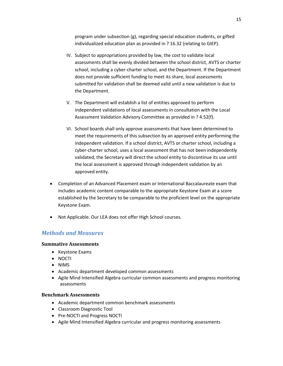program under subsection (g), regarding special education students, or gifted individualized education plan as provided in ? 16.32 (relating to GIEP).

- IV. Subject to appropriations provided by law, the cost to validate local assessments shall be evenly divided between the school district, AVTS or charter school, including a cyber-charter school, and the Department. If the Department does not provide sufficient funding to meet its share, local assessments submitted for validation shall be deemed valid until a new validation is due to the Department.
- V. The Department will establish a list of entities approved to perform independent validations of local assessments in consultation with the Local Assessment Validation Advisory Committee as provided in ? 4.52(f).
- VI. School boards shall only approve assessments that have been determined to meet the requirements of this subsection by an approved entity performing the independent validation. If a school district, AVTS or charter school, including a cyber-charter school, uses a local assessment that has not been independently validated, the Secretary will direct the school entity to discontinue its use until the local assessment is approved through independent validation by an approved entity.
- Completion of an Advanced Placement exam or International Baccalaureate exam that includes academic content comparable to the appropriate Keystone Exam at a score established by the Secretary to be comparable to the proficient level on the appropriate Keystone Exam.
- Not Applicable. Our LEA does not offer High School courses.

## *Methods and Measures*

## **Summative Assessments**

- Keystone Exams
- NOCTI
- NIMS
- Academic department developed common assessments
- Agile Mind Intensified Algebra curricular common assessments and progress monitoring assessments

## **Benchmark Assessments**

- Academic department common benchmark assessments
- Classroom Diagnostic Tool
- Pre-NOCTI and Progress NOCTI
- Agile Mind Intensified Algebra curricular and progress monitoring assessments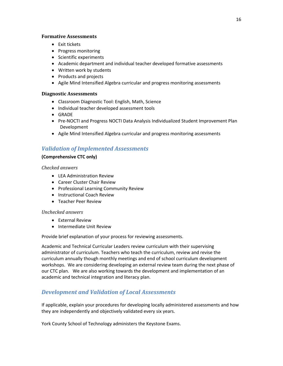#### **Formative Assessments**

- Exit tickets
- Progress monitoring
- Scientific experiments
- Academic department and individual teacher developed formative assessments
- Written work by students
- Products and projects
- Agile Mind Intensified Algebra curricular and progress monitoring assessments

## **Diagnostic Assessments**

- Classroom Diagnostic Tool: English, Math, Science
- Individual teacher developed assessment tools
- GRADE
- Pre-NOCTI and Progress NOCTI Data Analysis Individualized Student Improvement Plan Development
- Agile Mind Intensified Algebra curricular and progress monitoring assessments

## *Validation of Implemented Assessments*

## **(Comprehensive CTC only)**

*Checked answers*

- LEA Administration Review
- Career Cluster Chair Review
- Professional Learning Community Review
- Instructional Coach Review
- Teacher Peer Review

## *Unchecked answers*

- External Review
- Intermediate Unit Review

Provide brief explanation of your process for reviewing assessments.

Academic and Technical Curricular Leaders review curriculum with their supervising administrator of curriculum. Teachers who teach the curriculum, review and revise the curriculum annually though monthly meetings and end of school curriculum development workshops. We are considering developing an external review team during the next phase of our CTC plan. We are also working towards the development and implementation of an academic and technical integration and literacy plan.

## *Development and Validation of Local Assessments*

If applicable, explain your procedures for developing locally administered assessments and how they are independently and objectively validated every six years.

York County School of Technology administers the Keystone Exams.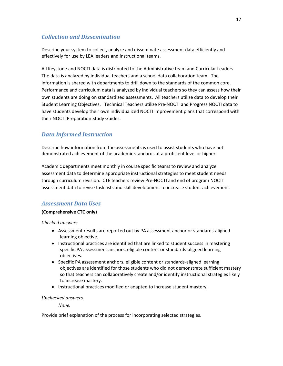## *Collection and Dissemination*

Describe your system to collect, analyze and disseminate assessment data efficiently and effectively for use by LEA leaders and instructional teams.

All Keystone and NOCTI data is distributed to the Administrative team and Curricular Leaders. The data is analyzed by individual teachers and a school data collaboration team. The information is shared with departments to drill down to the standards of the common core. Performance and curriculum data is analyzed by individual teachers so they can assess how their own students are doing on standardized assessments. All teachers utilize data to develop their Student Learning Objectives. Technical Teachers utilize Pre-NOCTI and Progress NOCTI data to have students develop their own individualized NOCTI improvement plans that correspond with their NOCTI Preparation Study Guides.

## *Data Informed Instruction*

Describe how information from the assessments is used to assist students who have not demonstrated achievement of the academic standards at a proficient level or higher.

Academic departments meet monthly in course specific teams to review and analyze assessment data to determine appropriate instructional strategies to meet student needs through curriculum revision. CTE teachers review Pre-NOCTI and end of program NOCTI assessment data to revise task lists and skill development to increase student achievement.

## *Assessment Data Uses*

## **(Comprehensive CTC only)**

*Checked answers*

- Assessment results are reported out by PA assessment anchor or standards-aligned learning objective.
- Instructional practices are identified that are linked to student success in mastering specific PA assessment anchors, eligible content or standards-aligned learning objectives.
- Specific PA assessment anchors, eligible content or standards-aligned learning objectives are identified for those students who did not demonstrate sufficient mastery so that teachers can collaboratively create and/or identify instructional strategies likely to increase mastery.
- Instructional practices modified or adapted to increase student mastery.

## *Unchecked answers*

*None.*

Provide brief explanation of the process for incorporating selected strategies.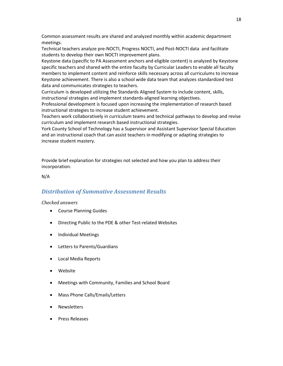Common assessment results are shared and analyzed monthly within academic department meetings.

Technical teachers analyze pre-NOCTI, Progress NOCTI, and Post-NOCTI data and facilitate students to develop their own NOCTI improvement plans.

Keystone data (specific to PA Assessment anchors and eligible content) is analyzed by Keystone specific teachers and shared with the entire faculty by Curricular Leaders to enable all faculty members to implement content and reinforce skills necessary across all curriculums to increase Keystone achievement. There is also a school wide data team that analyzes standardized test data and communicates strategies to teachers.

Curriculum is developed utilizing the Standards Aligned System to include content, skills, instructional strategies and implement standards-aligned learning objectives.

Professional development is focused upon increasing the implementation of research based instructional strategies to increase student achievement.

Teachers work collaboratively in curriculum teams and technical pathways to develop and revise curriculum and implement research based instructional strategies.

York County School of Technology has a Supervisor and Assistant Supervisor Special Education and an instructional coach that can assist teachers in modifying or adapting strategies to increase student mastery.

Provide brief explanation for strategies not selected and how you plan to address their incorporation.

N/A

## *Distribution of Summative Assessment Results*

#### *Checked answers*

- Course Planning Guides
- Directing Public to the PDE & other Test-related Websites
- Individual Meetings
- Letters to Parents/Guardians
- Local Media Reports
- Website
- Meetings with Community, Families and School Board
- Mass Phone Calls/Emails/Letters
- Newsletters
- Press Releases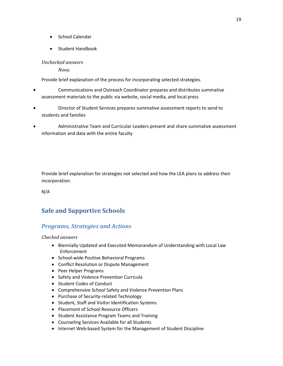- School Calendar
- Student Handbook

## *Unchecked answers*

*None.*

Provide brief explanation of the process for incorporating selected strategies.

- Communications and Outreach Coordinator prepares and distributes summative assessment materials to the public via website, social media, and local press
- Director of Student Services prepares summative assessment reports to send to students and families
- Administrative Team and Curricular Leaders present and share summative assessment information and data with the entire faculty

Provide brief explanation for strategies not selected and how the LEA plans to address their incorporation.

N/A

## **Safe and Supportive Schools**

## *Programs, Strategies and Actions*

*Checked answers*

- Biennially Updated and Executed Memorandum of Understanding with Local Law Enforcement
- School-wide Positive Behavioral Programs
- Conflict Resolution or Dispute Management
- Peer Helper Programs
- Safety and Violence Prevention Curricula
- Student Codes of Conduct
- Comprehensive School Safety and Violence Prevention Plans
- Purchase of Security-related Technology
- Student, Staff and Visitor Identification Systems
- Placement of School Resource Officers
- Student Assistance Program Teams and Training
- Counseling Services Available for all Students
- Internet Web-based System for the Management of Student Discipline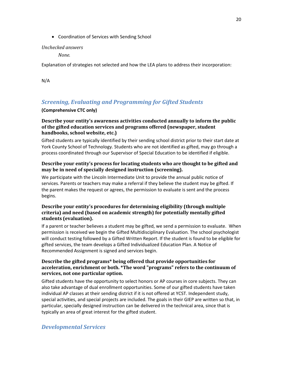• Coordination of Services with Sending School

### *Unchecked answers*

*None.*

Explanation of strategies not selected and how the LEA plans to address their incorporation:

N/A

## *Screening, Evaluating and Programming for Gifted Students*

## **(Comprehensive CTC only)**

## **Describe your entity's awareness activities conducted annually to inform the public of the gifted education services and programs offered (newspaper, student handbooks, school website, etc.)**

Gifted students are typically identified by their sending school district prior to their start date at York County School of Technology. Students who are not identified as gifted, may go through a process coordinated through our Supervisor of Special Education to be identified if eligible.

## **Describe your entity's process for locating students who are thought to be gifted and may be in need of specially designed instruction (screening).**

We participate with the Lincoln Intermediate Unit to provide the annual public notice of services. Parents or teachers may make a referral if they believe the student may be gifted. If the parent makes the request or agrees, the permission to evaluate is sent and the process begins.

## **Describe your entity's procedures for determining eligibility (through multiple criteria) and need (based on academic strength) for potentially mentally gifted students (evaluation).**

If a parent or teacher believes a student may be gifted, we send a permission to evaluate. When permission is received we begin the Gifted Multidisciplinary Evaluation. The school psychologist will conduct testing followed by a Gifted Written Report. If the student is found to be eligible for gifted services, the team develops a Gifted Individualized Education Plan. A Notice of Recommended Assignment is signed and services begin.

## **Describe the gifted programs\* being offered that provide opportunities for acceleration, enrichment or both. \*The word "programs" refers to the continuum of services, not one particular option.**

Gifted students have the opportunity to select honors or AP courses in core subjects. They can also take advantage of dual enrollment opportunities. Some of our gifted students have taken individual AP classes at their sending district if it is not offered at YCST. Independent study, special activities, and special projects are included. The goals in their GIEP are written so that, in particular, specially designed instruction can be delivered in the technical area, since that is typically an area of great interest for the gifted student.

## *Developmental Services*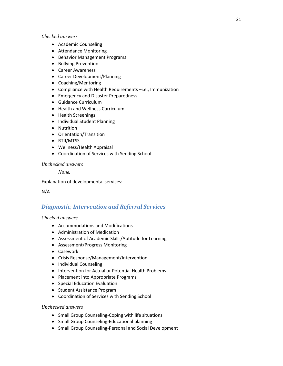### *Checked answers*

- Academic Counseling
- Attendance Monitoring
- Behavior Management Programs
- Bullying Prevention
- Career Awareness
- Career Development/Planning
- Coaching/Mentoring
- Compliance with Health Requirements –i.e., Immunization
- Emergency and Disaster Preparedness
- Guidance Curriculum
- Health and Wellness Curriculum
- Health Screenings
- Individual Student Planning
- Nutrition
- Orientation/Transition
- RTII/MTSS
- Wellness/Health Appraisal
- Coordination of Services with Sending School

## *Unchecked answers*

*None.*

Explanation of developmental services:

N/A

## *Diagnostic, Intervention and Referral Services*

## *Checked answers*

- Accommodations and Modifications
- Administration of Medication
- Assessment of Academic Skills/Aptitude for Learning
- Assessment/Progress Monitoring
- Casework
- Crisis Response/Management/Intervention
- Individual Counseling
- Intervention for Actual or Potential Health Problems
- Placement into Appropriate Programs
- Special Education Evaluation
- Student Assistance Program
- Coordination of Services with Sending School

## *Unchecked answers*

- Small Group Counseling-Coping with life situations
- Small Group Counseling-Educational planning
- Small Group Counseling-Personal and Social Development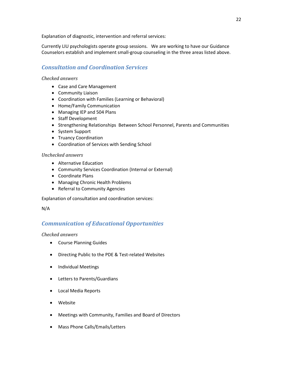Explanation of diagnostic, intervention and referral services:

Currently LIU psychologists operate group sessions. We are working to have our Guidance Counselors establish and implement small-group counseling in the three areas listed above.

## *Consultation and Coordination Services*

## *Checked answers*

- Case and Care Management
- Community Liaison
- Coordination with Families (Learning or Behavioral)
- Home/Family Communication
- Managing IEP and 504 Plans
- Staff Development
- Strengthening Relationships Between School Personnel, Parents and Communities
- System Support
- Truancy Coordination
- Coordination of Services with Sending School

## *Unchecked answers*

- Alternative Education
- Community Services Coordination (Internal or External)
- Coordinate Plans
- Managing Chronic Health Problems
- Referral to Community Agencies

Explanation of consultation and coordination services:

## N/A

## *Communication of Educational Opportunities*

## *Checked answers*

- Course Planning Guides
- Directing Public to the PDE & Test-related Websites
- Individual Meetings
- Letters to Parents/Guardians
- Local Media Reports
- Website
- Meetings with Community, Families and Board of Directors
- Mass Phone Calls/Emails/Letters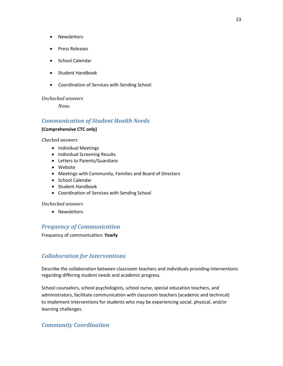- Newsletters
- Press Releases
- School Calendar
- Student Handbook
- Coordination of Services with Sending School

## *Unchecked answers*

*None.*

## *Communication of Student Health Needs*

## **(Comprehensive CTC only)**

#### *Checked answers*

- Individual Meetings
- Individual Screening Results
- Letters to Parents/Guardians
- Website
- Meetings with Community, Families and Board of Directors
- School Calendar
- Student Handbook
- Coordination of Services with Sending School

## *Unchecked answers*

• Newsletters

## *Frequency of Communication*

Frequency of communication: **Yearly**

## *Collaboration for Interventions*

Describe the collaboration between classroom teachers and individuals providing interventions regarding differing student needs and academic progress.

School counselors, school psychologists, school nurse, special education teachers, and administrators, facilitate communication with classroom teachers (academic and technical) to implement interventions for students who may be experiencing social, physical, and/or learning challenges.

## *Community Coordination*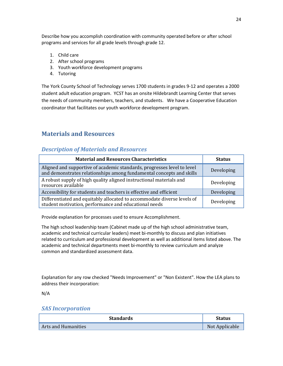Describe how you accomplish coordination with community operated before or after school programs and services for all grade levels through grade 12.

- 1. Child care
- 2. After school programs
- 3. Youth workforce development programs
- 4. Tutoring

The York County School of Technology serves 1700 students in grades 9-12 and operates a 2000 student adult education program. YCST has an onsite Hildebrandt Learning Center that serves the needs of community members, teachers, and students. We have a Cooperative Education coordinator that facilitates our youth workforce development program.

## **Materials and Resources**

## *Description of Materials and Resources*

| <b>Material and Resources Characteristics</b>                                                                                                   | <b>Status</b> |
|-------------------------------------------------------------------------------------------------------------------------------------------------|---------------|
| Aligned and supportive of academic standards, progresses level to level<br>and demonstrates relationships among fundamental concepts and skills | Developing    |
| A robust supply of high quality aligned instructional materials and<br>resources available                                                      | Developing    |
| Accessibility for students and teachers is effective and efficient                                                                              | Developing    |
| Differentiated and equitably allocated to accommodate diverse levels of<br>student motivation, performance and educational needs                | Developing    |

Provide explanation for processes used to ensure Accomplishment.

The high school leadership team (Cabinet made up of the high school administrative team, academic and technical curricular leaders) meet bi-monthly to discuss and plan initiatives related to curriculum and professional development as well as additional items listed above. The academic and technical departments meet bi-monthly to review curriculum and analyze common and standardized assessment data.

Explanation for any row checked "Needs Improvement" or "Non Existent". How the LEA plans to address their incorporation:

N/A

## *SAS Incorporation*

| <b>Standards</b>    | Status         |
|---------------------|----------------|
| Arts and Humanities | Not Applicable |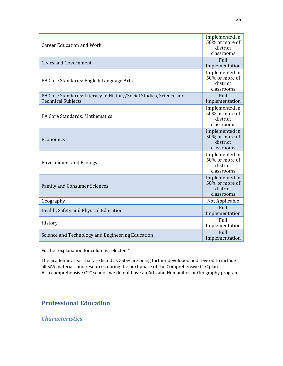| <b>Career Education and Work</b>                                                                | Implemented in<br>50% or more of<br>district<br>classrooms |
|-------------------------------------------------------------------------------------------------|------------------------------------------------------------|
| <b>Civics and Government</b>                                                                    | Full<br>Implementation                                     |
| PA Core Standards: English Language Arts                                                        | Implemented in<br>50% or more of<br>district<br>classrooms |
| PA Core Standards: Literacy in History/Social Studies, Science and<br><b>Technical Subjects</b> | Full<br>Implementation                                     |
| PA Core Standards: Mathematics                                                                  | Implemented in<br>50% or more of<br>district<br>classrooms |
| Economics                                                                                       | Implemented in<br>50% or more of<br>district<br>classrooms |
| <b>Environment and Ecology</b>                                                                  | Implemented in<br>50% or more of<br>district<br>classrooms |
| <b>Family and Consumer Sciences</b>                                                             | Implemented in<br>50% or more of<br>district<br>classrooms |
| Geography                                                                                       | Not Applicable                                             |
| Health, Safety and Physical Education                                                           | Full<br>Implementation                                     |
| History                                                                                         | Full<br>Implementation                                     |
| Science and Technology and Engineering Education                                                | Full<br>Implementation                                     |

Further explanation for columns selected "

The academic areas that are listed as >50% are being further developed and revised to include all SAS materials and resources during the next phase of the Comprehensive CTC plan. As a comprehensive CTC school, we do not have an Arts and Humanities or Geography program.

## **Professional Education**

*Characteristics*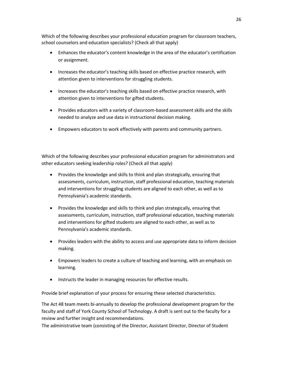Which of the following describes your professional education program for classroom teachers, school counselors and education specialists? (Check all that apply)

- Enhances the educator's content knowledge in the area of the educator's certification or assignment.
- Increases the educator's teaching skills based on effective practice research, with attention given to interventions for struggling students.
- Increases the educator's teaching skills based on effective practice research, with attention given to interventions for gifted students.
- Provides educators with a variety of classroom-based assessment skills and the skills needed to analyze and use data in instructional decision making.
- Empowers educators to work effectively with parents and community partners.

Which of the following describes your professional education program for administrators and other educators seeking leadership roles? (Check all that apply)

- Provides the knowledge and skills to think and plan strategically, ensuring that assessments, curriculum, instruction, staff professional education, teaching materials and interventions for struggling students are aligned to each other, as well as to Pennsylvania's academic standards.
- Provides the knowledge and skills to think and plan strategically, ensuring that assessments, curriculum, instruction, staff professional education, teaching materials and interventions for gifted students are aligned to each other, as well as to Pennsylvania's academic standards.
- Provides leaders with the ability to access and use appropriate data to inform decision making.
- Empowers leaders to create a culture of teaching and learning, with an emphasis on learning.
- Instructs the leader in managing resources for effective results.

Provide brief explanation of your process for ensuring these selected characteristics.

The Act 48 team meets bi-annually to develop the professional development program for the faculty and staff of York County School of Technology. A draft is sent out to the faculty for a review and further insight and recommendations.

The administrative team (consisting of the Director, Assistant Director, Director of Student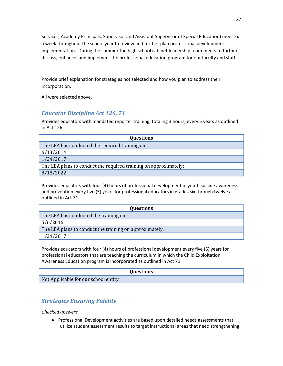Services, Academy Principals, Supervisor and Assistant Supervisor of Special Education) meet 2x a week throughout the school year to review and further plan professional development implementation. During the summer the high school cabinet leadership team meets to further discuss, enhance, and implement the professional education program for our faculty and staff.

Provide brief explanation for strategies not selected and how you plan to address their incorporation.

All were selected above.

## *Educator Discipline Act 126, 71*

Provides educators with mandated reporter training, totaling 3 hours, every 5 years as outlined in Act 126.

| <b>Questions</b>                                                 |
|------------------------------------------------------------------|
| The LEA has conducted the required training on:                  |
| 6/13/2014                                                        |
| 1/24/2017                                                        |
| The LEA plans to conduct the required training on approximately: |
| 8/18/2022                                                        |

Provides educators with four (4) hours of professional development in youth suicide awareness and prevention every five (5) years for professional educators in grades six through twelve as outlined in Act 71.

| <b>Questions</b>                                        |
|---------------------------------------------------------|
| The LEA has conducted the training on:                  |
| 5/6/2016                                                |
| The LEA plans to conduct the training on approximately: |
| 1/24/2017                                               |

Provides educators with four (4) hours of professional development every five (5) years for professional educators that are teaching the curriculum in which the Child Exploitation Awareness Education program is incorporated as outlined in Act 71.

#### **Questions**

Not Applicable for our school entity

## *Strategies Ensuring Fidelity*

## *Checked answers*

• Professional Development activities are based upon detailed needs assessments that utilize student assessment results to target instructional areas that need strengthening.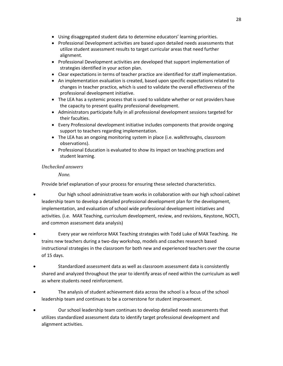- Using disaggregated student data to determine educators' learning priorities.
- Professional Development activities are based upon detailed needs assessments that utilize student assessment results to target curricular areas that need further alignment.
- Professional Development activities are developed that support implementation of strategies identified in your action plan.
- Clear expectations in terms of teacher practice are identified for staff implementation.
- An implementation evaluation is created, based upon specific expectations related to changes in teacher practice, which is used to validate the overall effectiveness of the professional development initiative.
- The LEA has a systemic process that is used to validate whether or not providers have the capacity to present quality professional development.
- Administrators participate fully in all professional development sessions targeted for their faculties.
- Every Professional development initiative includes components that provide ongoing support to teachers regarding implementation.
- The LEA has an ongoing monitoring system in place (i.e. walkthroughs, classroom observations).
- Professional Education is evaluated to show its impact on teaching practices and student learning.

## *Unchecked answers*

*None.*

Provide brief explanation of your process for ensuring these selected characteristics.

- Our high school administrative team works in collaboration with our high school cabinet leadership team to develop a detailed professional development plan for the development, implementation, and evaluation of school wide professional development initiatives and activities. (i.e. MAX Teaching, curriculum development, review, and revisions, Keystone, NOCTI, and common assessment data analysis)
- Every year we reinforce MAX Teaching strategies with Todd Luke of MAX Teaching. He trains new teachers during a two-day workshop, models and coaches research based instructional strategies in the classroom for both new and experienced teachers over the course of 15 days.
- Standardized assessment data as well as classroom assessment data is consistently shared and analyzed throughout the year to identify areas of need within the curriculum as well as where students need reinforcement.
- The analysis of student achievement data across the school is a focus of the school leadership team and continues to be a cornerstone for student improvement.
- Our school leadership team continues to develop detailed needs assessments that utilizes standardized assessment data to identify target professional development and alignment activities.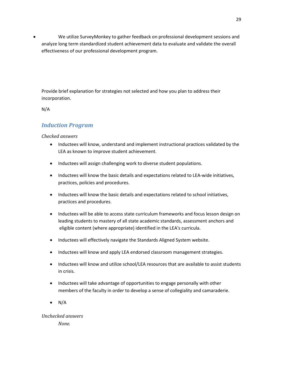• We utilize SurveyMonkey to gather feedback on professional development sessions and analyze long term standardized student achievement data to evaluate and validate the overall effectiveness of our professional development program.

Provide brief explanation for strategies not selected and how you plan to address their incorporation.

N/A

## *Induction Program*

#### *Checked answers*

- Inductees will know, understand and implement instructional practices validated by the LEA as known to improve student achievement.
- Inductees will assign challenging work to diverse student populations.
- Inductees will know the basic details and expectations related to LEA-wide initiatives, practices, policies and procedures.
- Inductees will know the basic details and expectations related to school initiatives, practices and procedures.
- Inductees will be able to access state curriculum frameworks and focus lesson design on leading students to mastery of all state academic standards, assessment anchors and eligible content (where appropriate) identified in the LEA's curricula.
- Inductees will effectively navigate the Standards Aligned System website.
- Inductees will know and apply LEA endorsed classroom management strategies.
- Inductees will know and utilize school/LEA resources that are available to assist students in crisis.
- Inductees will take advantage of opportunities to engage personally with other members of the faculty in order to develop a sense of collegiality and camaraderie.
- N/A

# *Unchecked answers*

*None.*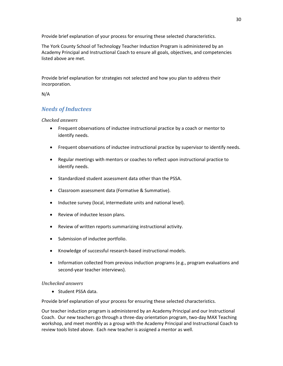Provide brief explanation of your process for ensuring these selected characteristics.

The York County School of Technology Teacher Induction Program is administered by an Academy Principal and Instructional Coach to ensure all goals, objectives, and competencies listed above are met.

Provide brief explanation for strategies not selected and how you plan to address their incorporation.

## N/A

## *Needs of Inductees*

## *Checked answers*

- Frequent observations of inductee instructional practice by a coach or mentor to identify needs.
- Frequent observations of inductee instructional practice by supervisor to identify needs.
- Regular meetings with mentors or coaches to reflect upon instructional practice to identify needs.
- Standardized student assessment data other than the PSSA.
- Classroom assessment data (Formative & Summative).
- Inductee survey (local, intermediate units and national level).
- Review of inductee lesson plans.
- Review of written reports summarizing instructional activity.
- Submission of inductee portfolio.
- Knowledge of successful research-based instructional models.
- Information collected from previous induction programs (e.g., program evaluations and second-year teacher interviews).

## *Unchecked answers*

• Student PSSA data.

Provide brief explanation of your process for ensuring these selected characteristics.

Our teacher induction program is administered by an Academy Principal and our Instructional Coach. Our new teachers go through a three-day orientation program, two-day MAX Teaching workshop, and meet monthly as a group with the Academy Principal and Instructional Coach to review tools listed above. Each new teacher is assigned a mentor as well.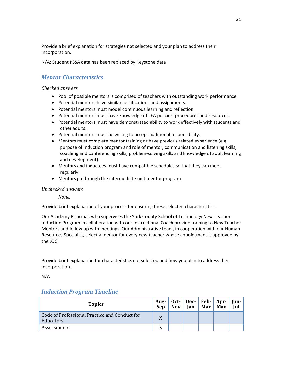Provide a brief explanation for strategies not selected and your plan to address their incorporation.

N/A: Student PSSA data has been replaced by Keystone data

## *Mentor Characteristics*

### *Checked answers*

- Pool of possible mentors is comprised of teachers with outstanding work performance.
- Potential mentors have similar certifications and assignments.
- Potential mentors must model continuous learning and reflection.
- Potential mentors must have knowledge of LEA policies, procedures and resources.
- Potential mentors must have demonstrated ability to work effectively with students and other adults.
- Potential mentors must be willing to accept additional responsibility.
- Mentors must complete mentor training or have previous related experience (e.g., purpose of induction program and role of mentor, communication and listening skills, coaching and conferencing skills, problem-solving skills and knowledge of adult learning and development).
- Mentors and inductees must have compatible schedules so that they can meet regularly.
- Mentors go through the intermediate unit mentor program

## *Unchecked answers*

*None.*

Provide brief explanation of your process for ensuring these selected characteristics.

Our Academy Principal, who supervises the York County School of Technology New Teacher Induction Program in collaboration with our Instructional Coach provide training to New Teacher Mentors and follow up with meetings. Our Administrative team, in cooperation with our Human Resources Specialist, select a mentor for every new teacher whose appointment is approved by the JOC.

Provide brief explanation for characteristics not selected and how you plan to address their incorporation.

N/A

## *Induction Program Timeline*

| <b>Topics</b>                                              | Sep | <b>Nov</b> | Aug-   Oct-   Dec-   Feb-   Apr-   Jun-<br><b>Jan</b> | Mar | <b>May</b> | ์ Iul |
|------------------------------------------------------------|-----|------------|-------------------------------------------------------|-----|------------|-------|
| Code of Professional Practice and Conduct for<br>Educators | X   |            |                                                       |     |            |       |
| Assessments                                                | X   |            |                                                       |     |            |       |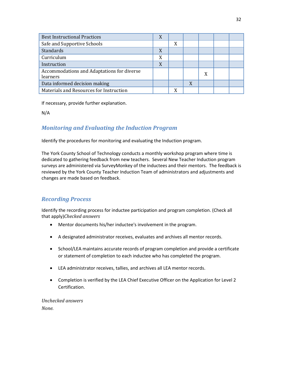| <b>Best Instructional Practices</b>                           | X |   |   |  |  |
|---------------------------------------------------------------|---|---|---|--|--|
| Safe and Supportive Schools                                   |   | X |   |  |  |
| Standards                                                     | X |   |   |  |  |
| Curriculum                                                    | X |   |   |  |  |
| Instruction                                                   | X |   |   |  |  |
| Accommodations and Adaptations for diverse<br><i>learners</i> |   |   |   |  |  |
| Data informed decision making                                 |   |   | X |  |  |
| Materials and Resources for Instruction                       |   | Y |   |  |  |

If necessary, provide further explanation.

N/A

## *Monitoring and Evaluating the Induction Program*

Identify the procedures for monitoring and evaluating the Induction program.

The York County School of Technology conducts a monthly workshop program where time is dedicated to gathering feedback from new teachers. Several New Teacher Induction program surveys are administered via SurveyMonkey of the inductees and their mentors. The feedback is reviewed by the York County Teacher Induction Team of administrators and adjustments and changes are made based on feedback.

## *Recording Process*

Identify the recording process for inductee participation and program completion. (Check all that apply)*Checked answers*

- Mentor documents his/her inductee's involvement in the program.
- A designated administrator receives, evaluates and archives all mentor records.
- School/LEA maintains accurate records of program completion and provide a certificate or statement of completion to each inductee who has completed the program.
- LEA administrator receives, tallies, and archives all LEA mentor records.
- Completion is verified by the LEA Chief Executive Officer on the Application for Level 2 Certification.

*Unchecked answers*

*None.*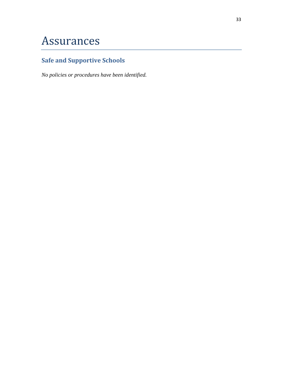# Assurances

# **Safe and Supportive Schools**

*No policies or procedures have been identified.*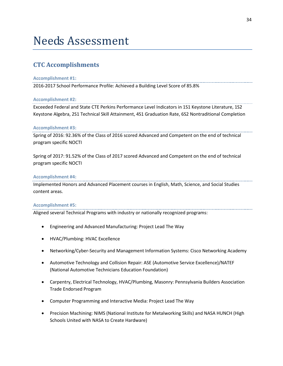# Needs Assessment

## **CTC Accomplishments**

#### **Accomplishment #1:**

2016-2017 School Performance Profile: Achieved a Building Level Score of 85.8%

#### **Accomplishment #2:**

Exceeded Federal and State CTE Perkins Performance Level Indicators in 1S1 Keystone Literature, 1S2 Keystone Algebra, 2S1 Technical Skill Attainment, 4S1 Graduation Rate, 6S2 Nontraditional Completion

#### **Accomplishment #3:**

Spring of 2016: 92.36% of the Class of 2016 scored Advanced and Competent on the end of technical program specific NOCTI

Spring of 2017: 91.52% of the Class of 2017 scored Advanced and Competent on the end of technical program specific NOCTI

#### **Accomplishment #4:**

Implemented Honors and Advanced Placement courses in English, Math, Science, and Social Studies content areas.

#### **Accomplishment #5:**

Aligned several Technical Programs with industry or nationally recognized programs:

- Engineering and Advanced Manufacturing: Project Lead The Way
- HVAC/Plumbing: HVAC Excellence
- Networking/Cyber-Security and Management Information Systems: Cisco Networking Academy
- Automotive Technology and Collision Repair: ASE (Automotive Service Excellence)/NATEF (National Automotive Technicians Education Foundation)
- Carpentry, Electrical Technology, HVAC/Plumbing, Masonry: Pennsylvania Builders Association Trade Endorsed Program
- Computer Programming and Interactive Media: Project Lead The Way
- Precision Machining: NIMS (National Institute for Metalworking Skills) and NASA HUNCH (High Schools United with NASA to Create Hardware)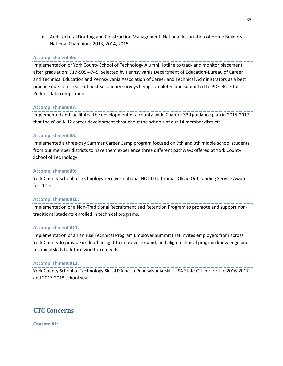• Architectural Drafting and Construction Management: National Association of Home Builders National Champions 2013, 2014, 2015

### **Accomplishment #6:**

Implementation of York County School of Technology Alumni Hotline to track and monitor placement after graduation: 717-505-4745. Selected by Pennsylvania Department of Education-Bureau of Career and Technical Education and Pennsylvania Association of Career and Technical Administrators as a best practice due to increase of post-secondary surveys being completed and submitted to PDE-BCTE for Perkins data compilation.

#### **Accomplishment #7:**

Implemented and facilitated the development of a county-wide Chapter 339 guidance plan in 2015-2017 that focus' on K-12 career development throughout the schools of our 14 member districts.

#### **Accomplishment #8:**

Implemented a three-day Summer Career Camp program focused on 7th and 8th middle school students from our member districts to have them experience three different pathways offered at York County School of Technology.

#### **Accomplishment #9:**

York County School of Technology receives national NOCTI C. Thomas Olivio Outstanding Service Award for 2015.

#### **Accomplishment #10:**

Implementation of a Non-Traditional Recruitment and Retention Program to promote and support nontraditional students enrolled in technical programs.

#### **Accomplishment #11:**

Implementation of an annual Technical Program Employer Summit that invites employers from across York County to provide in-depth insight to improve, expand, and align technical program knowledge and technical skills to future workforce needs.

#### **Accomplishment #12:**

York County School of Technology SkillsUSA has a Pennsylvania SkillsUSA State Officer for the 2016-2017 and 2017-2018 school year.

## **CTC Concerns**

**Concern #1:**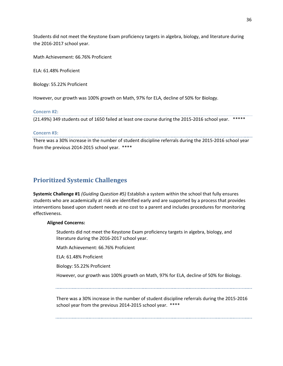Students did not meet the Keystone Exam proficiency targets in algebra, biology, and literature during the 2016-2017 school year.

Math Achievement: 66.76% Proficient

ELA: 61.48% Proficient

Biology: 55.22% Proficient

However, our growth was 100% growth on Math, 97% for ELA, decline of 50% for Biology.

### **Concern #2:**

..................................... (21.49%) 349 students out of 1650 failed at least one course during the 2015-2016 school year. \*\*\*\*\*

#### **Concern #3:**

There was a 30% increase in the number of student discipline referrals during the 2015-2016 school year from the previous 2014-2015 school year. \*\*\*\*

## **Prioritized Systemic Challenges**

**Systemic Challenge #1** *(Guiding Question #5)* Establish a system within the school that fully ensures students who are academically at risk are identified early and are supported by a process that provides interventions based upon student needs at no cost to a parent and includes procedures for monitoring effectiveness.

## **Aligned Concerns:**

Students did not meet the Keystone Exam proficiency targets in algebra, biology, and literature during the 2016-2017 school year.

Math Achievement: 66.76% Proficient

ELA: 61.48% Proficient

Biology: 55.22% Proficient

However, our growth was 100% growth on Math, 97% for ELA, decline of 50% for Biology.

There was a 30% increase in the number of student discipline referrals during the 2015-2016 school year from the previous 2014-2015 school year. \*\*\*\*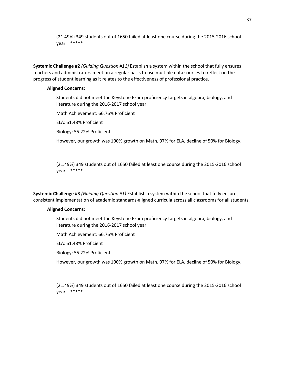(21.49%) 349 students out of 1650 failed at least one course during the 2015-2016 school year. \*\*\*\*\*

**Systemic Challenge #2** *(Guiding Question #11)* Establish a system within the school that fully ensures teachers and administrators meet on a regular basis to use multiple data sources to reflect on the progress of student learning as it relates to the effectiveness of professional practice.

#### **Aligned Concerns:**

Students did not meet the Keystone Exam proficiency targets in algebra, biology, and literature during the 2016-2017 school year.

Math Achievement: 66.76% Proficient

ELA: 61.48% Proficient

Biology: 55.22% Proficient

However, our growth was 100% growth on Math, 97% for ELA, decline of 50% for Biology.

(21.49%) 349 students out of 1650 failed at least one course during the 2015-2016 school year. \*\*\*\*\*

**Systemic Challenge #3** *(Guiding Question #1)* Establish a system within the school that fully ensures consistent implementation of academic standards-aligned curricula across all classrooms for all students.

## **Aligned Concerns:**

Students did not meet the Keystone Exam proficiency targets in algebra, biology, and literature during the 2016-2017 school year.

Math Achievement: 66.76% Proficient

ELA: 61.48% Proficient

Biology: 55.22% Proficient

However, our growth was 100% growth on Math, 97% for ELA, decline of 50% for Biology.

(21.49%) 349 students out of 1650 failed at least one course during the 2015-2016 school year. \*\*\*\*\*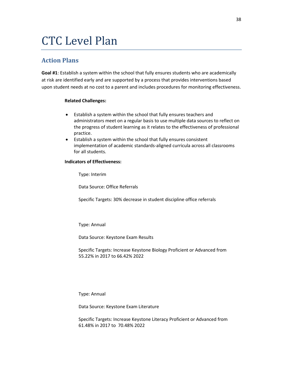# CTC Level Plan

## **Action Plans**

**Goal #1**: Establish a system within the school that fully ensures students who are academically at risk are identified early and are supported by a process that provides interventions based upon student needs at no cost to a parent and includes procedures for monitoring effectiveness.

## **Related Challenges:**

- Establish a system within the school that fully ensures teachers and administrators meet on a regular basis to use multiple data sources to reflect on the progress of student learning as it relates to the effectiveness of professional practice.
- Establish a system within the school that fully ensures consistent implementation of academic standards-aligned curricula across all classrooms for all students.

## **Indicators of Effectiveness:**

Type: Interim

Data Source: Office Referrals

Specific Targets: 30% decrease in student discipline office referrals

Type: Annual

Data Source: Keystone Exam Results

Specific Targets: Increase Keystone Biology Proficient or Advanced from 55.22% in 2017 to 66.42% 2022

Type: Annual

Data Source: Keystone Exam Literature

Specific Targets: Increase Keystone Literacy Proficient or Advanced from 61.48% in 2017 to 70.48% 2022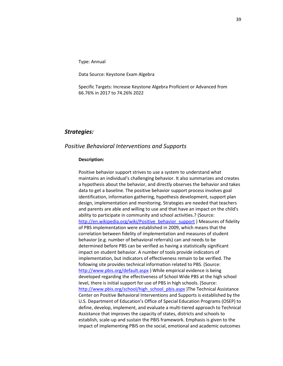Type: Annual

Data Source: Keystone Exam Algebra

Specific Targets: Increase Keystone Algebra Proficient or Advanced from 66.76% in 2017 to 74.26% 2022

## *Strategies:*

#### *Positive Behavioral Interventions and Supports*

#### **Description:**

Positive behavior support strives to use a system to understand what maintains an individual's challenging behavior. It also summarizes and creates a hypothesis about the behavior, and directly observes the behavior and takes data to get a baseline. The positive behavior support process involves goal identification, information gathering, hypothesis development, support plan design, implementation and monitoring. Strategies are needed that teachers and parents are able and willing to use and that have an impact on the child's ability to participate in community and school activities.? (Source: [http://en.wikipedia.org/wiki/Positive\\_behavior\\_support](http://en.wikipedia.org/wiki/Positive_behavior_support) ) Measures of fidelity of PBS implementation were established in 2009, which means that the correlation between fidelity of implementation and measures of student behavior (e.g. number of behavioral referrals) can and needs to be determined before PBS can be verified as having a statistically significant impact on student behavior. A number of tools provide indicators of implementation, but indicators of effectiveness remain to be verified. The following site provides technical information related to PBS. (Source: <http://www.pbis.org/default.aspx> ) While empirical evidence is being developed regarding the effectiveness of School Wide PBS at the high school level, there is initial support for use of PBS in high schools. (Source: [http://www.pbis.org/school/high\\_school\\_pbis.aspx](http://www.pbis.org/school/high_school_pbis.aspx) )The Technical Assistance Center on Positive Behavioral Interventions and Supports is established by the U.S. Department of Education's Office of Special Education Programs (OSEP) to define, develop, implement, and evaluate a multi-tiered approach to Technical Assistance that improves the capacity of states, districts and schools to establish, scale-up and sustain the PBIS framework. Emphasis is given to the impact of implementing PBIS on the social, emotional and academic outcomes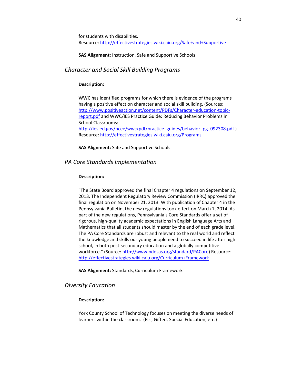for students with disabilities. Resource[: http://effectivestrategies.wiki.caiu.org/Safe+and+Supportive](http://effectivestrategies.wiki.caiu.org/Safe+and+Supportive)

**SAS Alignment:** Instruction, Safe and Supportive Schools

## *Character and Social Skill Building Programs*

#### **Description:**

WWC has identified programs for which there is evidence of the programs having a positive effect on character and social skill building. (Sources: [http://www.positiveaction.net/content/PDFs/Character-education-topic](http://www.positiveaction.net/content/PDFs/Character-education-topic-report.pdf)[report.pdf](http://www.positiveaction.net/content/PDFs/Character-education-topic-report.pdf) and WWC/IES Practice Guide: Reducing Behavior Problems in School Classrooms: [http://ies.ed.gov/ncee/wwc/pdf/practice\\_guides/behavior\\_pg\\_092308.pdf](http://ies.ed.gov/ncee/wwc/pdf/practice_guides/behavior_pg_092308.pdf) ) Resource[: http://effectivestrategies.wiki.caiu.org/Programs](http://effectivestrategies.wiki.caiu.org/Programs)

## **SAS Alignment:** Safe and Supportive Schools

## *PA Core Standards Implementation*

#### **Description:**

"The State Board approved the final Chapter 4 regulations on September 12, 2013. The Independent Regulatory Review Commission (IRRC) approved the final regulation on November 21, 2013. With publication of Chapter 4 in the Pennsylvania Bulletin, the new regulations took effect on March 1, 2014. As part of the new regulations, Pennsylvania's Core Standards offer a set of rigorous, high-quality academic expectations in English Language Arts and Mathematics that all students should master by the end of each grade level. The PA Core Standards are robust and relevant to the real world and reflect the knowledge and skills our young people need to succeed in life after high school, in both post-secondary education and a globally competitive workforce." (Source[: http://www.pdesas.org/standard/PACore\)](http://www.pdesas.org/standard/PACore) Resource: <http://effectivestrategies.wiki.caiu.org/Curriculum+Framework>

**SAS Alignment:** Standards, Curriculum Framework

## *Diversity Education*

## **Description:**

York County School of Technology focuses on meeting the diverse needs of learners within the classroom. (ELs, Gifted, Special Education, etc.)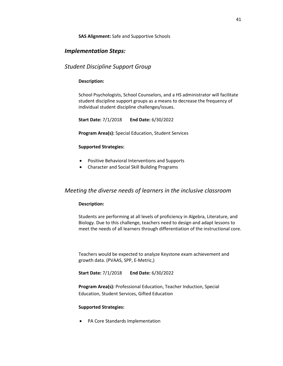#### **SAS Alignment:** Safe and Supportive Schools

## *Implementation Steps:*

## *Student Discipline Support Group*

## **Description:**

School Psychologists, School Counselors, and a HS administrator will facilitate student discipline support groups as a means to decrease the frequency of individual student discipline challenges/issues.

**Start Date:** 7/1/2018 **End Date:** 6/30/2022

**Program Area(s):** Special Education, Student Services

#### **Supported Strategies:**

- Positive Behavioral Interventions and Supports
- Character and Social Skill Building Programs

## *Meeting the diverse needs of learners in the inclusive classroom*

## **Description:**

Students are performing at all levels of proficiency in Algebra, Literature, and Biology. Due to this challenge, teachers need to design and adapt lessons to meet the needs of all learners through differentiation of the instructional core.

Teachers would be expected to analyze Keystone exam achievement and growth data. (PVAAS, SPP, E-Metric,)

**Start Date:** 7/1/2018 **End Date:** 6/30/2022

**Program Area(s):** Professional Education, Teacher Induction, Special Education, Student Services, Gifted Education

#### **Supported Strategies:**

• PA Core Standards Implementation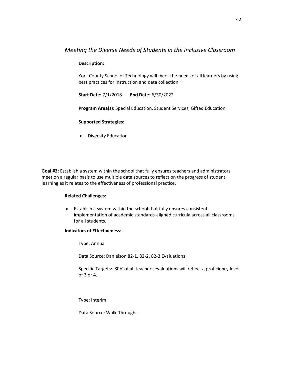## *Meeting the Diverse Needs of Students in the Inclusive Classroom*

## **Description:**

York County School of Technology will meet the needs of all learners by using best practices for instruction and data collection.

**Start Date:** 7/1/2018 **End Date:** 6/30/2022

**Program Area(s):** Special Education, Student Services, Gifted Education

#### **Supported Strategies:**

• Diversity Education

**Goal #2**: Establish a system within the school that fully ensures teachers and administrators meet on a regular basis to use multiple data sources to reflect on the progress of student learning as it relates to the effectiveness of professional practice.

## **Related Challenges:**

• Establish a system within the school that fully ensures consistent implementation of academic standards-aligned curricula across all classrooms for all students.

#### **Indicators of Effectiveness:**

Type: Annual

Data Source: Danielson 82-1, 82-2, 82-3 Evaluations

Specific Targets: 80% of all teachers evaluations will reflect a proficiency level of 3 or 4.

Type: Interim

Data Source: Walk-Throughs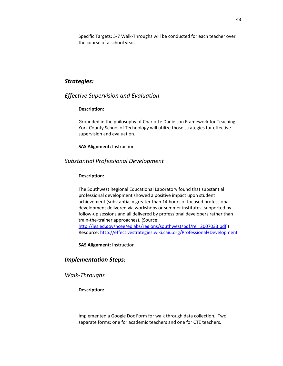Specific Targets: 5-7 Walk-Throughs will be conducted for each teacher over the course of a school year.

## *Strategies:*

## *Effective Supervision and Evaluation*

## **Description:**

Grounded in the philosophy of Charlotte Danielson Framework for Teaching. York County School of Technology will utilize those strategies for effective supervision and evaluation.

#### **SAS Alignment:** Instruction

## *Substantial Professional Development*

#### **Description:**

The Southwest Regional Educational Laboratory found that substantial professional development showed a positive impact upon student achievement (substantial = greater than 14 hours of focused professional development delivered via workshops or summer institutes, supported by follow-up sessions and all delivered by professional developers rather than train-the-trainer approaches). (Source: [http://ies.ed.gov/ncee/edlabs/regions/southwest/pdf/rel\\_2007033.pdf](http://ies.ed.gov/ncee/edlabs/regions/southwest/pdf/rel_2007033.pdf) ) Resource[: http://effectivestrategies.wiki.caiu.org/Professional+Development](http://effectivestrategies.wiki.caiu.org/Professional+Development)

**SAS Alignment:** Instruction

## *Implementation Steps:*

## *Walk-Throughs*

### **Description:**

Implemented a Google Doc Form for walk through data collection. Two separate forms: one for academic teachers and one for CTE teachers.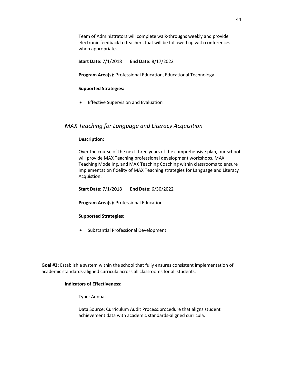Team of Administrators will complete walk-throughs weekly and provide electronic feedback to teachers that will be followed up with conferences when appropriate.

**Start Date:** 7/1/2018 **End Date:** 8/17/2022

**Program Area(s):** Professional Education, Educational Technology

#### **Supported Strategies:**

• Effective Supervision and Evaluation

## *MAX Teaching for Language and Literacy Acquisition*

#### **Description:**

Over the course of the next three years of the comprehensive plan, our school will provide MAX Teaching professional development workshops, MAX Teaching Modeling, and MAX Teaching Coaching within classrooms to ensure implementation fidelity of MAX Teaching strategies for Language and Literacy Acquistion.

**Start Date:** 7/1/2018 **End Date:** 6/30/2022

**Program Area(s):** Professional Education

## **Supported Strategies:**

• Substantial Professional Development

**Goal #3**: Establish a system within the school that fully ensures consistent implementation of academic standards-aligned curricula across all classrooms for all students.

#### **Indicators of Effectiveness:**

Type: Annual

Data Source: Curriculum Audit Process:procedure that aligns student achievement data with academic standards-aligned curricula.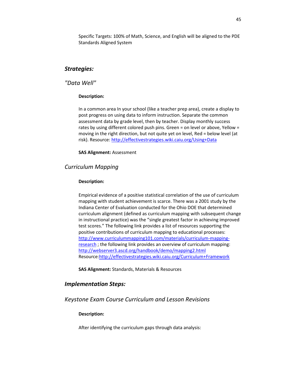Specific Targets: 100% of Math, Science, and English will be aligned to the PDE Standards Aligned System

## *Strategies:*

*"Data Well"*

#### **Description:**

In a common area In your school (like a teacher prep area), create a display to post progress on using data to inform instruction. Separate the common assessment data by grade level, then by teacher. Display monthly success rates by using different colored push pins. Green = on level or above, Yellow = moving in the right direction, but not quite yet on level, Red = below level (at risk). Resource:<http://effectivestrategies.wiki.caiu.org/Using+Data>

**SAS Alignment:** Assessment

## *Curriculum Mapping*

#### **Description:**

Empirical evidence of a positive statistical correlation of the use of curriculum mapping with student achievement is scarce. There was a 2001 study by the Indiana Center of Evaluation conducted for the Ohio DOE that determined curriculum alignment (defined as curriculum mapping with subsequent change in instructional practice) was the "single greatest factor in achieving improved test scores." The following link provides a list of resources supporting the positive contributions of curriculum mapping to educational processes: [http://www.curriculummapping101.com/materials/curriculum-mapping](http://www.curriculummapping101.com/materials/curriculum-mapping-research)[research](http://www.curriculummapping101.com/materials/curriculum-mapping-research) ; the following link provides an overview of curriculum mapping: <http://webserver3.ascd.org/handbook/demo/mapping2.html> Resource[:http://effectivestrategies.wiki.caiu.org/Curriculum+Framework](http://effectivestrategies.wiki.caiu.org/Curriculum+Framework) 

**SAS Alignment:** Standards, Materials & Resources

## *Implementation Steps:*

*Keystone Exam Course Curriculum and Lesson Revisions* 

#### **Description:**

After identifying the curriculum gaps through data analysis: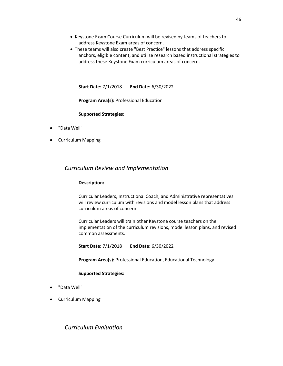- Keystone Exam Course Curriculum will be revised by teams of teachers to address Keystone Exam areas of concern.
- These teams will also create "Best Practice" lessons that address specific anchors, eligible content, and utilize research based instructional strategies to address these Keystone Exam curriculum areas of concern.

**Start Date:** 7/1/2018 **End Date:** 6/30/2022

**Program Area(s):** Professional Education

**Supported Strategies:** 

- "Data Well"
- Curriculum Mapping

## *Curriculum Review and Implementation*

#### **Description:**

Curricular Leaders, Instructional Coach, and Administrative representatives will review curriculum with revisions and model lesson plans that address curriculum areas of concern.

Curricular Leaders will train other Keystone course teachers on the implementation of the curriculum revisions, model lesson plans, and revised common assessments.

**Start Date:** 7/1/2018 **End Date:** 6/30/2022

**Program Area(s):** Professional Education, Educational Technology

#### **Supported Strategies:**

- "Data Well"
- Curriculum Mapping

*Curriculum Evaluation*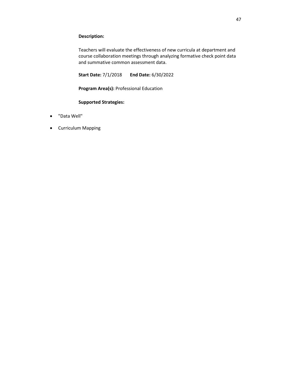### **Description:**

Teachers will evaluate the effectiveness of new curricula at department and course collaboration meetings through analyzing formative check point data and summative common assessment data.

**Start Date:** 7/1/2018 **End Date:** 6/30/2022

**Program Area(s):** Professional Education

### **Supported Strategies:**

- "Data Well"
- Curriculum Mapping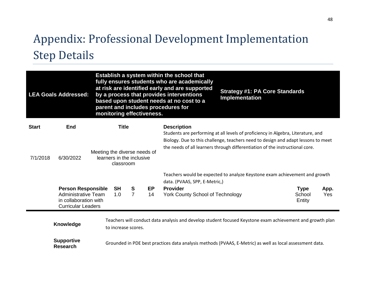# Appendix: Professional Development Implementation Step Details

|                          | <b>LEA Goals Addressed:</b>                                                                                   | monitoring effectiveness.                                 |                           |                     |                 | Establish a system within the school that<br>fully ensures students who are academically<br>at risk are identified early and are supported<br>by a process that provides interventions<br>based upon student needs at no cost to a<br>parent and includes procedures for | <b>Strategy #1: PA Core Standards</b><br><b>Implementation</b>                                                                                                                                                                                        |                                 |             |
|--------------------------|---------------------------------------------------------------------------------------------------------------|-----------------------------------------------------------|---------------------------|---------------------|-----------------|--------------------------------------------------------------------------------------------------------------------------------------------------------------------------------------------------------------------------------------------------------------------------|-------------------------------------------------------------------------------------------------------------------------------------------------------------------------------------------------------------------------------------------------------|---------------------------------|-------------|
| <b>Start</b><br>7/1/2018 | <b>End</b><br>6/30/2022                                                                                       | Meeting the diverse needs of<br>learners in the inclusive | <b>Title</b><br>classroom |                     |                 | <b>Description</b>                                                                                                                                                                                                                                                       | Students are performing at all levels of proficiency in Algebra, Literature, and<br>Biology. Due to this challenge, teachers need to design and adapt lessons to meet<br>the needs of all learners through differentiation of the instructional core. |                                 |             |
|                          |                                                                                                               |                                                           |                           |                     |                 | data. (PVAAS, SPP, E-Metric,)                                                                                                                                                                                                                                            | Teachers would be expected to analyze Keystone exam achievement and growth                                                                                                                                                                            |                                 |             |
|                          | <b>Person Responsible</b><br><b>Administrative Team</b><br>in collaboration with<br><b>Curricular Leaders</b> |                                                           | <b>SH</b><br>1.0          | S<br>$\overline{7}$ | <b>EP</b><br>14 | <b>Provider</b><br><b>York County School of Technology</b>                                                                                                                                                                                                               |                                                                                                                                                                                                                                                       | <b>Type</b><br>School<br>Entity | App.<br>Yes |
|                          | Knowledge                                                                                                     |                                                           | to increase scores.       |                     |                 |                                                                                                                                                                                                                                                                          | Teachers will conduct data analysis and develop student focused Keystone exam achievement and growth plan                                                                                                                                             |                                 |             |
|                          | <b>Supportive</b><br><b>Research</b>                                                                          |                                                           |                           |                     |                 |                                                                                                                                                                                                                                                                          | Grounded in PDE best practices data analysis methods (PVAAS, E-Metric) as well as local assessment data.                                                                                                                                              |                                 |             |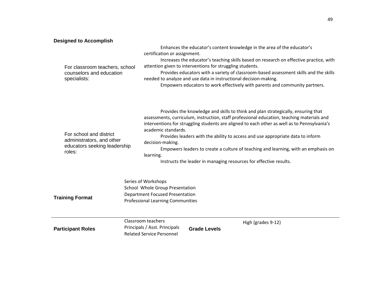## **Designed to Accomplish**

| For classroom teachers, school<br>counselors and education<br>specialists:                     | Enhances the educator's content knowledge in the area of the educator's<br>certification or assignment.<br>Increases the educator's teaching skills based on research on effective practice, with<br>attention given to interventions for struggling students.<br>Provides educators with a variety of classroom-based assessment skills and the skills<br>needed to analyze and use data in instructional decision-making.<br>Empowers educators to work effectively with parents and community partners.                                                                          |
|------------------------------------------------------------------------------------------------|-------------------------------------------------------------------------------------------------------------------------------------------------------------------------------------------------------------------------------------------------------------------------------------------------------------------------------------------------------------------------------------------------------------------------------------------------------------------------------------------------------------------------------------------------------------------------------------|
| For school and district<br>administrators, and other<br>educators seeking leadership<br>roles: | Provides the knowledge and skills to think and plan strategically, ensuring that<br>assessments, curriculum, instruction, staff professional education, teaching materials and<br>interventions for struggling students are aligned to each other as well as to Pennsylvania's<br>academic standards.<br>Provides leaders with the ability to access and use appropriate data to inform<br>decision-making.<br>Empowers leaders to create a culture of teaching and learning, with an emphasis on<br>learning.<br>Instructs the leader in managing resources for effective results. |
| <b>Training Format</b>                                                                         | Series of Workshops<br>School Whole Group Presentation<br><b>Department Focused Presentation</b><br><b>Professional Learning Communities</b>                                                                                                                                                                                                                                                                                                                                                                                                                                        |
| <b>Participant Roles</b>                                                                       | Classroom teachers<br>High (grades 9-12)<br>Principals / Asst. Principals<br><b>Grade Levels</b><br><b>Related Service Personnel</b>                                                                                                                                                                                                                                                                                                                                                                                                                                                |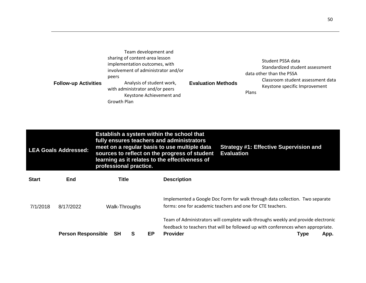| Team development and<br>sharing of content-area lesson<br>implementation outcomes, with<br>involvement of administrator and/or<br>peers<br>Analysis of student work,<br><b>Follow-up Activities</b><br>with administrator and/or peers<br>Keystone Achievement and<br>Growth Plan | <b>Evaluation Methods</b> | Student PSSA data<br>Standardized student assessment<br>data other than the PSSA<br>Classroom student assessment data<br>Keystone specific Improvement<br>Plans |
|-----------------------------------------------------------------------------------------------------------------------------------------------------------------------------------------------------------------------------------------------------------------------------------|---------------------------|-----------------------------------------------------------------------------------------------------------------------------------------------------------------|
|-----------------------------------------------------------------------------------------------------------------------------------------------------------------------------------------------------------------------------------------------------------------------------------|---------------------------|-----------------------------------------------------------------------------------------------------------------------------------------------------------------|

|              | <b>LEA Goals Addressed:</b> | professional practice. |   |    | Establish a system within the school that<br>fully ensures teachers and administrators<br><b>Strategy #1: Effective Supervision and</b><br>meet on a regular basis to use multiple data<br>sources to reflect on the progress of student<br><b>Evaluation</b><br>learning as it relates to the effectiveness of |                                                                                                                                                                                      |  |  |  |
|--------------|-----------------------------|------------------------|---|----|-----------------------------------------------------------------------------------------------------------------------------------------------------------------------------------------------------------------------------------------------------------------------------------------------------------------|--------------------------------------------------------------------------------------------------------------------------------------------------------------------------------------|--|--|--|
| <b>Start</b> | End                         | Title                  |   |    | <b>Description</b>                                                                                                                                                                                                                                                                                              |                                                                                                                                                                                      |  |  |  |
| 7/1/2018     | 8/17/2022                   | Walk-Throughs          |   |    |                                                                                                                                                                                                                                                                                                                 | Implemented a Google Doc Form for walk through data collection. Two separate<br>forms: one for academic teachers and one for CTE teachers.                                           |  |  |  |
|              | <b>Person Responsible</b>   | <b>SH</b>              | S | EP | <b>Provider</b>                                                                                                                                                                                                                                                                                                 | Team of Administrators will complete walk-throughs weekly and provide electronic<br>feedback to teachers that will be followed up with conferences when appropriate.<br>Type<br>App. |  |  |  |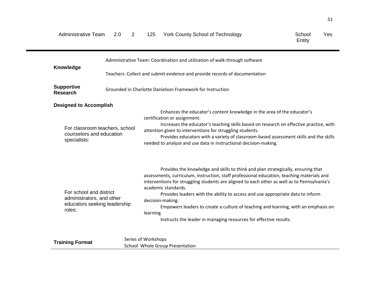| <b>Administrative Team</b>                                                                     | 2<br>2.0                       | 125 | <b>York County School of Technology</b>                                                                                                                                                                                                                                                                                                                                                                                                                                                           | School<br>Yes<br>Entity |
|------------------------------------------------------------------------------------------------|--------------------------------|-----|---------------------------------------------------------------------------------------------------------------------------------------------------------------------------------------------------------------------------------------------------------------------------------------------------------------------------------------------------------------------------------------------------------------------------------------------------------------------------------------------------|-------------------------|
|                                                                                                |                                |     | Administrative Team: Coordination and utilization of walk-through software                                                                                                                                                                                                                                                                                                                                                                                                                        |                         |
| <b>Knowledge</b>                                                                               |                                |     | Teachers: Collect and submit evidence and provide records of documentation                                                                                                                                                                                                                                                                                                                                                                                                                        |                         |
| <b>Supportive</b><br><b>Research</b>                                                           |                                |     | Grounded in Charlotte Danielson Framework for Instruction                                                                                                                                                                                                                                                                                                                                                                                                                                         |                         |
| <b>Designed to Accomplish</b><br>counselors and education<br>specialists:                      | For classroom teachers, school |     | Enhances the educator's content knowledge in the area of the educator's<br>certification or assignment.<br>Increases the educator's teaching skills based on research on effective practice, with<br>attention given to interventions for struggling students.<br>Provides educators with a variety of classroom-based assessment skills and the skills<br>needed to analyze and use data in instructional decision-making.                                                                       |                         |
| For school and district<br>administrators, and other<br>educators seeking leadership<br>roles: |                                |     | Provides the knowledge and skills to think and plan strategically, ensuring that<br>assessments, curriculum, instruction, staff professional education, teaching materials and<br>interventions for struggling students are aligned to each other as well as to Pennsylvania's<br>academic standards.<br>Provides leaders with the ability to access and use appropriate data to inform<br>decision-making.<br>Empowers leaders to create a culture of teaching and learning, with an emphasis on |                         |

learning.

Instructs the leader in managing resources for effective results.

| School Whole Group Presentation | <b>Training Format</b> | Series of Workshops |
|---------------------------------|------------------------|---------------------|
|                                 |                        |                     |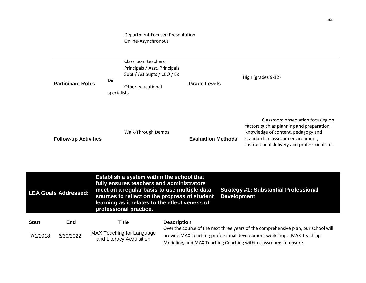## Department Focused Presentation Online-Asynchronous

|              | <b>Participant Roles</b>    | Classroom teachers<br>Principals / Asst. Principals<br>Supt / Ast Supts / CEO / Ex<br>Dir<br>Other educational<br>specialists                                                                                                                                       | <b>Grade Levels</b>       |                    | High (grades 9-12)                                                                                                                                                                                                             |
|--------------|-----------------------------|---------------------------------------------------------------------------------------------------------------------------------------------------------------------------------------------------------------------------------------------------------------------|---------------------------|--------------------|--------------------------------------------------------------------------------------------------------------------------------------------------------------------------------------------------------------------------------|
|              | <b>Follow-up Activities</b> | <b>Walk-Through Demos</b>                                                                                                                                                                                                                                           | <b>Evaluation Methods</b> |                    | Classroom observation focusing on<br>factors such as planning and preparation,<br>knowledge of content, pedagogy and<br>standards, classroom environment,<br>instructional delivery and professionalism.                       |
|              | <b>LEA Goals Addressed:</b> | Establish a system within the school that<br>fully ensures teachers and administrators<br>meet on a regular basis to use multiple data<br>sources to reflect on the progress of student<br>learning as it relates to the effectiveness of<br>professional practice. |                           | <b>Development</b> | <b>Strategy #1: Substantial Professional</b>                                                                                                                                                                                   |
| <b>Start</b> | End                         | <b>Title</b>                                                                                                                                                                                                                                                        | <b>Description</b>        |                    |                                                                                                                                                                                                                                |
| 7/1/2018     | 6/30/2022                   | <b>MAX Teaching for Language</b><br>and Literacy Acquisition                                                                                                                                                                                                        |                           |                    | Over the course of the next three years of the comprehensive plan, our school will<br>provide MAX Teaching professional development workshops, MAX Teaching<br>Modeling, and MAX Teaching Coaching within classrooms to ensure |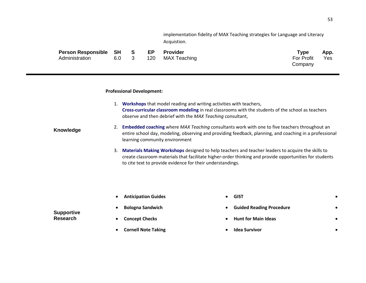implementation fidelity of MAX Teaching strategies for Language and Literacy Acquistion.

| Person Responsible SH S |       | EP  | Provider     | Type       | App. |
|-------------------------|-------|-----|--------------|------------|------|
| Administration          | 6.0 3 | 120 | MAX Teaching | For Profit | Yes  |
|                         |       |     |              | Company    |      |

#### **Professional Development:**

- 1. **[Workshops](http://www.maxteaching.com/typical-workshop.php)** that model reading and writing activities with teachers, **[Cross-curricular classroom modeling](http://www.maxteaching.com/modeling-classroom.php)** in real classrooms with the students of the school as teachers observe and then debrief with the *MAX Teaching* consultant,
- **Knowledge** 2. **[Embedded coaching](http://www.maxteaching.com/embedded-coaching.php)** where *MAX Teaching* consultants work with one to five teachers throughout an entire school day, modeling, observing and providing feedback, planning, and coaching in a professional learning community environment
	- 3. **[Materials Making Workshops](http://www.maxteaching.com/materials-making.php)** designed to help teachers and teacher leaders to acquire the skills to create classroom materials that facilitate higher-order thinking and provide opportunities for students to cite text to provide evidence for their understandings.

• **Anticipation Guides**

- **GIST** •
- **Guided Reading Procedure** •
- **Hunt for Main Ideas** •
- **Idea Survivor** •

## **Supportive Research**

• **Concept Checks**

• **Bologna Sandwich**

• **Cornell Note Taking**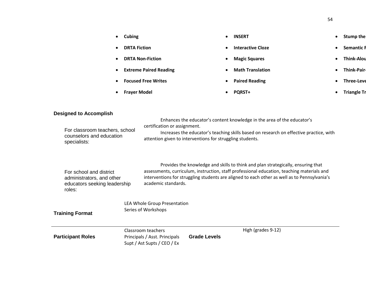| $\bullet$ | Cubing                        | $\bullet$ | <b>INSERT</b>            | $\bullet$ | Stump the          |
|-----------|-------------------------------|-----------|--------------------------|-----------|--------------------|
| $\bullet$ | <b>DRTA Fiction</b>           | $\bullet$ | <b>Interactive Cloze</b> | $\bullet$ | <b>Semantic H</b>  |
| $\bullet$ | <b>DRTA Non-Fiction</b>       | $\bullet$ | <b>Magic Squares</b>     |           | <b>Think-Alou</b>  |
| $\bullet$ | <b>Extreme Paired Reading</b> | $\bullet$ | <b>Math Translation</b>  |           | <b>Think-Pair-</b> |
| $\bullet$ | <b>Focused Free Writes</b>    | $\bullet$ | <b>Paired Reading</b>    |           | <b>Three-Leve</b>  |
| $\bullet$ | <b>Frayer Model</b>           | $\bullet$ | <b>PORST+</b>            |           | <b>Triangle Tr</b> |

## **Designed to Accomplish**

| For classroom teachers, school<br>counselors and education<br>specialists:                     |                                                                                    | Enhances the educator's content knowledge in the area of the educator's<br>certification or assignment.<br>Increases the educator's teaching skills based on research on effective practice, with<br>attention given to interventions for struggling students. |                     |                                                                                                                                                                                                                                                                                |  |  |
|------------------------------------------------------------------------------------------------|------------------------------------------------------------------------------------|----------------------------------------------------------------------------------------------------------------------------------------------------------------------------------------------------------------------------------------------------------------|---------------------|--------------------------------------------------------------------------------------------------------------------------------------------------------------------------------------------------------------------------------------------------------------------------------|--|--|
| For school and district<br>administrators, and other<br>educators seeking leadership<br>roles: |                                                                                    | academic standards.                                                                                                                                                                                                                                            |                     | Provides the knowledge and skills to think and plan strategically, ensuring that<br>assessments, curriculum, instruction, staff professional education, teaching materials and<br>interventions for struggling students are aligned to each other as well as to Pennsylvania's |  |  |
|                                                                                                |                                                                                    | LEA Whole Group Presentation                                                                                                                                                                                                                                   |                     |                                                                                                                                                                                                                                                                                |  |  |
| <b>Training Format</b>                                                                         |                                                                                    | Series of Workshops                                                                                                                                                                                                                                            |                     |                                                                                                                                                                                                                                                                                |  |  |
| <b>Participant Roles</b>                                                                       | Classroom teachers<br>Principals / Asst. Principals<br>Supt / Ast Supts / CEO / Ex |                                                                                                                                                                                                                                                                | <b>Grade Levels</b> | High (grades 9-12)                                                                                                                                                                                                                                                             |  |  |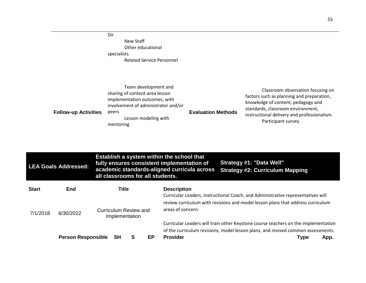|                             | Dir<br>New Staff<br>Other educational<br>specialists<br>Related Service Personnel                                                                                            |                           |                                                                                                                                                                                                                                |
|-----------------------------|------------------------------------------------------------------------------------------------------------------------------------------------------------------------------|---------------------------|--------------------------------------------------------------------------------------------------------------------------------------------------------------------------------------------------------------------------------|
| <b>Follow-up Activities</b> | Team development and<br>sharing of content-area lesson<br>implementation outcomes, with<br>involvement of administrator and/or<br>peers<br>Lesson modeling with<br>mentoring | <b>Evaluation Methods</b> | Classroom observation focusing on<br>factors such as planning and preparation,<br>knowledge of content, pedagogy and<br>standards, classroom environment,<br>instructional delivery and professionalism.<br>Participant survey |

|              | <b>LEA Goals Addressed:</b> | Establish a system within the school that<br>Strategy #1: "Data Well"<br>fully ensures consistent implementation of<br>academic standards-aligned curricula across<br><b>Strategy #2: Curriculum Mapping</b><br>all classrooms for all students. |                                                                                                                                                                                           |  |  |  |  |  |
|--------------|-----------------------------|--------------------------------------------------------------------------------------------------------------------------------------------------------------------------------------------------------------------------------------------------|-------------------------------------------------------------------------------------------------------------------------------------------------------------------------------------------|--|--|--|--|--|
| <b>Start</b> | <b>End</b>                  | Title                                                                                                                                                                                                                                            | <b>Description</b><br>Curricular Leaders, Instructional Coach, and Administrative representatives will<br>review curriculum with revisions and model lesson plans that address curriculum |  |  |  |  |  |
| 7/1/2018     | 6/30/2022                   | Curriculum Review and<br>Implementation                                                                                                                                                                                                          | areas of concern.                                                                                                                                                                         |  |  |  |  |  |
|              |                             |                                                                                                                                                                                                                                                  | Curricular Leaders will train other Keystone course teachers on the implementation                                                                                                        |  |  |  |  |  |
|              |                             |                                                                                                                                                                                                                                                  | of the curriculum revisions, model lesson plans, and revised common assessments.                                                                                                          |  |  |  |  |  |
|              | <b>Person Responsible</b>   | <b>SH</b><br>EP.<br>S                                                                                                                                                                                                                            | <b>Provider</b><br><b>Type</b><br>App.                                                                                                                                                    |  |  |  |  |  |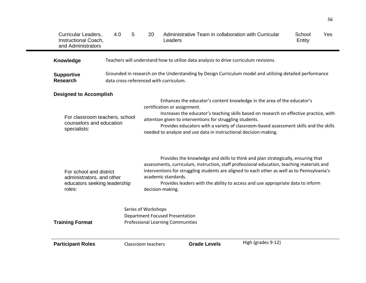| <b>Curricular Leaders,</b><br>Instructional Coach,<br>and Administrators                                    | 4.0 | 5 | 20                                                                                                                                                                                                                                                                                                                                                                                                                          | Administrative Team in collaboration with Curricular<br>Leaders                                                                                                                                                                                                                                                                                                                                             |                    | School<br>Entity | Yes |
|-------------------------------------------------------------------------------------------------------------|-----|---|-----------------------------------------------------------------------------------------------------------------------------------------------------------------------------------------------------------------------------------------------------------------------------------------------------------------------------------------------------------------------------------------------------------------------------|-------------------------------------------------------------------------------------------------------------------------------------------------------------------------------------------------------------------------------------------------------------------------------------------------------------------------------------------------------------------------------------------------------------|--------------------|------------------|-----|
| Knowledge                                                                                                   |     |   |                                                                                                                                                                                                                                                                                                                                                                                                                             | Teachers will understand how to utilize data analysis to drive curriculum revisions.                                                                                                                                                                                                                                                                                                                        |                    |                  |     |
| <b>Supportive</b><br><b>Research</b>                                                                        |     |   |                                                                                                                                                                                                                                                                                                                                                                                                                             | Grounded in research on the Understanding by Design Curriculum model and utilizing detailed performance<br>data cross-referenced with curriculum.                                                                                                                                                                                                                                                           |                    |                  |     |
| <b>Designed to Accomplish</b><br>For classroom teachers, school<br>counselors and education<br>specialists: |     |   | Enhances the educator's content knowledge in the area of the educator's<br>certification or assignment.<br>Increases the educator's teaching skills based on research on effective practice, with<br>attention given to interventions for struggling students.<br>Provides educators with a variety of classroom-based assessment skills and the skills<br>needed to analyze and use data in instructional decision-making. |                                                                                                                                                                                                                                                                                                                                                                                                             |                    |                  |     |
| For school and district<br>administrators, and other<br>educators seeking leadership<br>roles:              |     |   |                                                                                                                                                                                                                                                                                                                                                                                                                             | Provides the knowledge and skills to think and plan strategically, ensuring that<br>assessments, curriculum, instruction, staff professional education, teaching materials and<br>interventions for struggling students are aligned to each other as well as to Pennsylvania's<br>academic standards.<br>Provides leaders with the ability to access and use appropriate data to inform<br>decision-making. |                    |                  |     |
| <b>Training Format</b>                                                                                      |     |   | Series of Workshops                                                                                                                                                                                                                                                                                                                                                                                                         | <b>Department Focused Presentation</b><br><b>Professional Learning Communities</b>                                                                                                                                                                                                                                                                                                                          |                    |                  |     |
| <b>Participant Roles</b>                                                                                    |     |   | Classroom teachers                                                                                                                                                                                                                                                                                                                                                                                                          | <b>Grade Levels</b>                                                                                                                                                                                                                                                                                                                                                                                         | High (grades 9-12) |                  |     |

56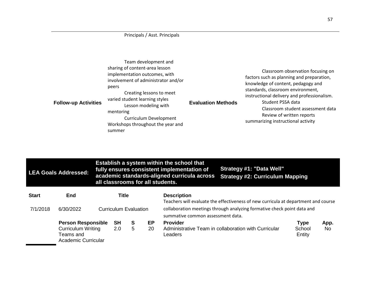## Principals / Asst. Principals

| Team development and<br>sharing of content-area lesson<br>implementation outcomes, with<br>involvement of administrator and/or<br>peers<br>Creating lessons to meet<br>varied student learning styles<br><b>Follow-up Activities</b><br>Lesson modeling with<br>mentoring<br>Curriculum Development<br>Workshops throughout the year and<br>summer | <b>Evaluation Methods</b> | Classroom observation focusing on<br>factors such as planning and preparation,<br>knowledge of content, pedagogy and<br>standards, classroom environment,<br>instructional delivery and professionalism.<br>Student PSSA data<br>Classroom student assessment data<br>Review of written reports<br>summarizing instructional activity |
|----------------------------------------------------------------------------------------------------------------------------------------------------------------------------------------------------------------------------------------------------------------------------------------------------------------------------------------------------|---------------------------|---------------------------------------------------------------------------------------------------------------------------------------------------------------------------------------------------------------------------------------------------------------------------------------------------------------------------------------|
|----------------------------------------------------------------------------------------------------------------------------------------------------------------------------------------------------------------------------------------------------------------------------------------------------------------------------------------------------|---------------------------|---------------------------------------------------------------------------------------------------------------------------------------------------------------------------------------------------------------------------------------------------------------------------------------------------------------------------------------|

| <b>LEA Goals Addressed:</b> |                                                                                                   |  |                                       |        | Establish a system within the school that<br>Strategy #1: "Data Well"<br>fully ensures consistent implementation of<br>academic standards-aligned curricula across<br><b>Strategy #2: Curriculum Mapping</b><br>all classrooms for all students. |                                                                                                                                                                                                                          |                                 |             |  |
|-----------------------------|---------------------------------------------------------------------------------------------------|--|---------------------------------------|--------|--------------------------------------------------------------------------------------------------------------------------------------------------------------------------------------------------------------------------------------------------|--------------------------------------------------------------------------------------------------------------------------------------------------------------------------------------------------------------------------|---------------------------------|-------------|--|
| <b>Start</b><br>7/1/2018    | End<br>6/30/2022                                                                                  |  | Title<br><b>Curriculum Evaluation</b> |        |                                                                                                                                                                                                                                                  | <b>Description</b><br>Teachers will evaluate the effectiveness of new curricula at department and course<br>collaboration meetings through analyzing formative check point data and<br>summative common assessment data. |                                 |             |  |
|                             | <b>Person Responsible</b><br><b>Curriculum Writing</b><br>Teams and<br><b>Academic Curricular</b> |  | <b>SH</b><br>2.0                      | S<br>5 | EP<br>20                                                                                                                                                                                                                                         | <b>Provider</b><br>Administrative Team in collaboration with Curricular<br>Leaders                                                                                                                                       | <b>Type</b><br>School<br>Entity | App.<br>No. |  |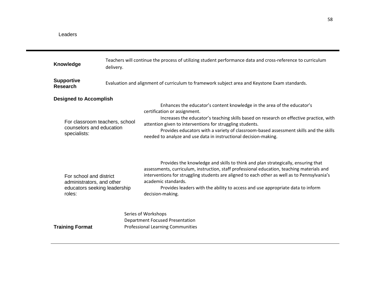| Knowledge                                                                                      | delivery.                      | Teachers will continue the process of utilizing student performance data and cross-reference to curriculum                                                                                                                                                                                                                                                                                                                  |  |  |  |  |  |  |
|------------------------------------------------------------------------------------------------|--------------------------------|-----------------------------------------------------------------------------------------------------------------------------------------------------------------------------------------------------------------------------------------------------------------------------------------------------------------------------------------------------------------------------------------------------------------------------|--|--|--|--|--|--|
| <b>Supportive</b><br><b>Research</b>                                                           |                                | Evaluation and alignment of curriculum to framework subject area and Keystone Exam standards.                                                                                                                                                                                                                                                                                                                               |  |  |  |  |  |  |
| <b>Designed to Accomplish</b>                                                                  |                                |                                                                                                                                                                                                                                                                                                                                                                                                                             |  |  |  |  |  |  |
| counselors and education<br>specialists:                                                       | For classroom teachers, school | Enhances the educator's content knowledge in the area of the educator's<br>certification or assignment.<br>Increases the educator's teaching skills based on research on effective practice, with<br>attention given to interventions for struggling students.<br>Provides educators with a variety of classroom-based assessment skills and the skills<br>needed to analyze and use data in instructional decision-making. |  |  |  |  |  |  |
| For school and district<br>administrators, and other<br>educators seeking leadership<br>roles: |                                | Provides the knowledge and skills to think and plan strategically, ensuring that<br>assessments, curriculum, instruction, staff professional education, teaching materials and<br>interventions for struggling students are aligned to each other as well as to Pennsylvania's<br>academic standards.<br>Provides leaders with the ability to access and use appropriate data to inform<br>decision-making.                 |  |  |  |  |  |  |
| <b>Training Format</b>                                                                         |                                | Series of Workshops<br><b>Department Focused Presentation</b><br><b>Professional Learning Communities</b>                                                                                                                                                                                                                                                                                                                   |  |  |  |  |  |  |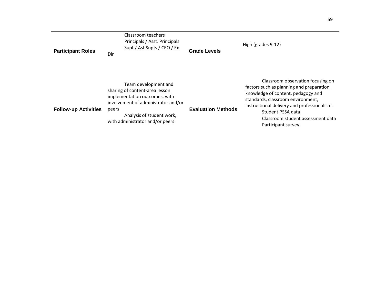| <b>Participant Roles</b>    | Classroom teachers<br>Principals / Asst. Principals<br>Supt / Ast Supts / CEO / Ex<br>Dir                                                                                                               | <b>Grade Levels</b>       | High (grades 9-12)                                                                                                                                                                                                                                                                       |
|-----------------------------|---------------------------------------------------------------------------------------------------------------------------------------------------------------------------------------------------------|---------------------------|------------------------------------------------------------------------------------------------------------------------------------------------------------------------------------------------------------------------------------------------------------------------------------------|
| <b>Follow-up Activities</b> | Team development and<br>sharing of content-area lesson<br>implementation outcomes, with<br>involvement of administrator and/or<br>peers<br>Analysis of student work,<br>with administrator and/or peers | <b>Evaluation Methods</b> | Classroom observation focusing on<br>factors such as planning and preparation,<br>knowledge of content, pedagogy and<br>standards, classroom environment,<br>instructional delivery and professionalism.<br>Student PSSA data<br>Classroom student assessment data<br>Participant survey |